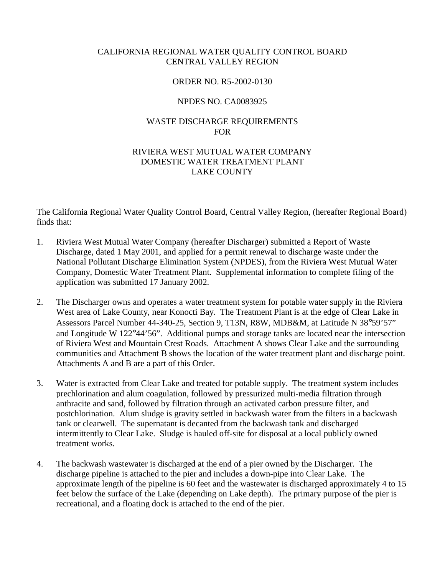# CALIFORNIA REGIONAL WATER QUALITY CONTROL BOARD CENTRAL VALLEY REGION

#### ORDER NO. R5-2002-0130

#### NPDES NO. CA0083925

# WASTE DISCHARGE REQUIREMENTS FOR

# RIVIERA WEST MUTUAL WATER COMPANY DOMESTIC WATER TREATMENT PLANT LAKE COUNTY

The California Regional Water Quality Control Board, Central Valley Region, (hereafter Regional Board) finds that:

- 1. Riviera West Mutual Water Company (hereafter Discharger) submitted a Report of Waste Discharge, dated 1 May 2001, and applied for a permit renewal to discharge waste under the National Pollutant Discharge Elimination System (NPDES), from the Riviera West Mutual Water Company, Domestic Water Treatment Plant. Supplemental information to complete filing of the application was submitted 17 January 2002.
- 2. The Discharger owns and operates a water treatment system for potable water supply in the Riviera West area of Lake County, near Konocti Bay. The Treatment Plant is at the edge of Clear Lake in Assessors Parcel Number 44-340-25, Section 9, T13N, R8W, MDB&M, at Latitude N 38°59'57" and Longitude W 122°44'56". Additional pumps and storage tanks are located near the intersection of Riviera West and Mountain Crest Roads. Attachment A shows Clear Lake and the surrounding communities and Attachment B shows the location of the water treatment plant and discharge point. Attachments A and B are a part of this Order.
- 3. Water is extracted from Clear Lake and treated for potable supply. The treatment system includes prechlorination and alum coagulation, followed by pressurized multi-media filtration through anthracite and sand, followed by filtration through an activated carbon pressure filter, and postchlorination. Alum sludge is gravity settled in backwash water from the filters in a backwash tank or clearwell. The supernatant is decanted from the backwash tank and discharged intermittently to Clear Lake. Sludge is hauled off-site for disposal at a local publicly owned treatment works.
- 4. The backwash wastewater is discharged at the end of a pier owned by the Discharger. The discharge pipeline is attached to the pier and includes a down-pipe into Clear Lake. The approximate length of the pipeline is 60 feet and the wastewater is discharged approximately 4 to 15 feet below the surface of the Lake (depending on Lake depth). The primary purpose of the pier is recreational, and a floating dock is attached to the end of the pier.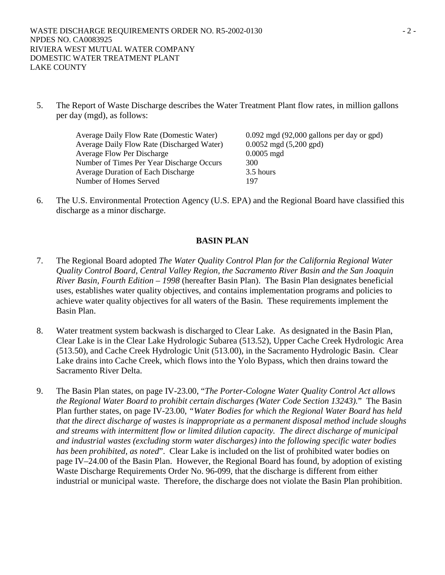5. The Report of Waste Discharge describes the Water Treatment Plant flow rates, in million gallons per day (mgd), as follows:

> Average Daily Flow Rate (Domestic Water) 0.092 mgd (92,000 gallons per day or gpd) Average Daily Flow Rate (Discharged Water) 0.0052 mgd (5,200 gpd) Average Flow Per Discharge 0.0005 mgd Number of Times Per Year Discharge Occurs 300 Average Duration of Each Discharge 3.5 hours Number of Homes Served 197

6. The U.S. Environmental Protection Agency (U.S. EPA) and the Regional Board have classified this discharge as a minor discharge.

# **BASIN PLAN**

- 7. The Regional Board adopted *The Water Quality Control Plan for the California Regional Water Quality Control Board, Central Valley Region, the Sacramento River Basin and the San Joaquin River Basin, Fourth Edition – 1998* (hereafter Basin Plan). The Basin Plan designates beneficial uses, establishes water quality objectives, and contains implementation programs and policies to achieve water quality objectives for all waters of the Basin. These requirements implement the Basin Plan.
- 8. Water treatment system backwash is discharged to Clear Lake. As designated in the Basin Plan, Clear Lake is in the Clear Lake Hydrologic Subarea (513.52), Upper Cache Creek Hydrologic Area (513.50), and Cache Creek Hydrologic Unit (513.00), in the Sacramento Hydrologic Basin. Clear Lake drains into Cache Creek, which flows into the Yolo Bypass, which then drains toward the Sacramento River Delta.
- 9. The Basin Plan states, on page IV-23.00, "*The Porter-Cologne Water Quality Control Act allows the Regional Water Board to prohibit certain discharges (Water Code Section 13243).*" The Basin Plan further states, on page IV-23.00, *"Water Bodies for which the Regional Water Board has held that the direct discharge of wastes is inappropriate as a permanent disposal method include sloughs and streams with intermittent flow or limited dilution capacity. The direct discharge of municipal and industrial wastes (excluding storm water discharges) into the following specific water bodies has been prohibited, as noted*". Clear Lake is included on the list of prohibited water bodies on page IV–24.00 of the Basin Plan. However, the Regional Board has found, by adoption of existing Waste Discharge Requirements Order No. 96-099, that the discharge is different from either industrial or municipal waste. Therefore, the discharge does not violate the Basin Plan prohibition.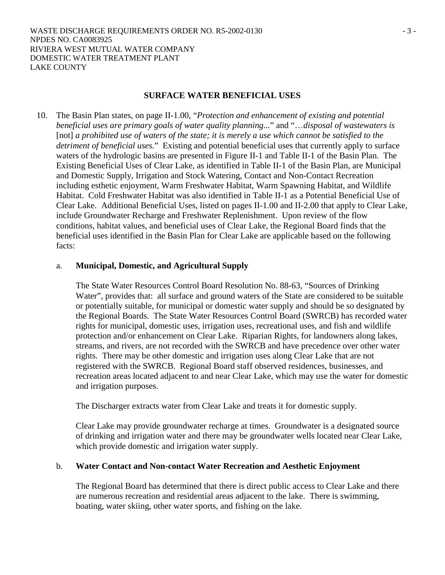# **SURFACE WATER BENEFICIAL USES**

10. The Basin Plan states, on page II-1.00, "*Protection and enhancement of existing and potential beneficial uses are primary goals of water quality planning...*" and "…*disposal of wastewaters is*  [not] a prohibited use of waters of the state; it is merely a use which cannot be satisfied to the *detriment of beneficial uses.*" Existing and potential beneficial uses that currently apply to surface waters of the hydrologic basins are presented in Figure II-1 and Table II-1 of the Basin Plan. The Existing Beneficial Uses of Clear Lake, as identified in Table II-1 of the Basin Plan, are Municipal and Domestic Supply, Irrigation and Stock Watering, Contact and Non-Contact Recreation including esthetic enjoyment, Warm Freshwater Habitat, Warm Spawning Habitat, and Wildlife Habitat. Cold Freshwater Habitat was also identified in Table II-1 as a Potential Beneficial Use of Clear Lake. Additional Beneficial Uses, listed on pages II-1.00 and II-2.00 that apply to Clear Lake, include Groundwater Recharge and Freshwater Replenishment. Upon review of the flow conditions, habitat values, and beneficial uses of Clear Lake, the Regional Board finds that the beneficial uses identified in the Basin Plan for Clear Lake are applicable based on the following facts:

#### a. **Municipal, Domestic, and Agricultural Supply**

The State Water Resources Control Board Resolution No. 88-63, "Sources of Drinking Water", provides that: all surface and ground waters of the State are considered to be suitable or potentially suitable, for municipal or domestic water supply and should be so designated by the Regional Boards. The State Water Resources Control Board (SWRCB) has recorded water rights for municipal, domestic uses, irrigation uses, recreational uses, and fish and wildlife protection and/or enhancement on Clear Lake. Riparian Rights, for landowners along lakes, streams, and rivers, are not recorded with the SWRCB and have precedence over other water rights. There may be other domestic and irrigation uses along Clear Lake that are not registered with the SWRCB. Regional Board staff observed residences, businesses, and recreation areas located adjacent to and near Clear Lake, which may use the water for domestic and irrigation purposes.

The Discharger extracts water from Clear Lake and treats it for domestic supply.

Clear Lake may provide groundwater recharge at times. Groundwater is a designated source of drinking and irrigation water and there may be groundwater wells located near Clear Lake, which provide domestic and irrigation water supply.

## b. **Water Contact and Non-contact Water Recreation and Aesthetic Enjoyment**

The Regional Board has determined that there is direct public access to Clear Lake and there are numerous recreation and residential areas adjacent to the lake. There is swimming, boating, water skiing, other water sports, and fishing on the lake.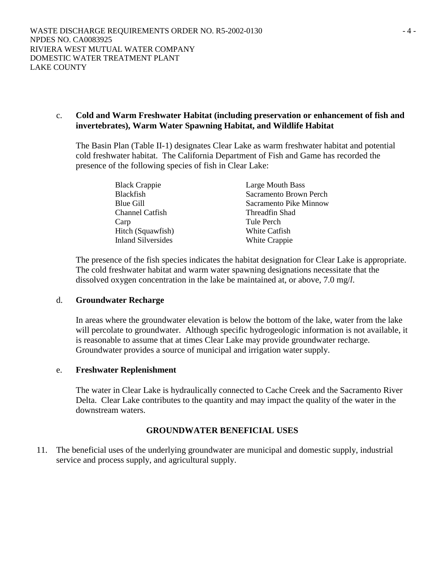# c. **Cold and Warm Freshwater Habitat (including preservation or enhancement of fish and invertebrates), Warm Water Spawning Habitat, and Wildlife Habitat**

The Basin Plan (Table II-1) designates Clear Lake as warm freshwater habitat and potential cold freshwater habitat. The California Department of Fish and Game has recorded the presence of the following species of fish in Clear Lake:

| <b>Black Crappie</b>      | Large Mouth Bass       |
|---------------------------|------------------------|
| <b>Blackfish</b>          | Sacramento Brown Perch |
| Blue Gill                 | Sacramento Pike Minnow |
| <b>Channel Catfish</b>    | Threadfin Shad         |
| Carp                      | Tule Perch             |
| Hitch (Squawfish)         | White Catfish          |
| <b>Inland Silversides</b> | White Crappie          |

The presence of the fish species indicates the habitat designation for Clear Lake is appropriate. The cold freshwater habitat and warm water spawning designations necessitate that the dissolved oxygen concentration in the lake be maintained at, or above, 7.0 mg/*l*.

## d. **Groundwater Recharge**

In areas where the groundwater elevation is below the bottom of the lake, water from the lake will percolate to groundwater. Although specific hydrogeologic information is not available, it is reasonable to assume that at times Clear Lake may provide groundwater recharge. Groundwater provides a source of municipal and irrigation water supply.

## e. **Freshwater Replenishment**

The water in Clear Lake is hydraulically connected to Cache Creek and the Sacramento River Delta. Clear Lake contributes to the quantity and may impact the quality of the water in the downstream waters.

## **GROUNDWATER BENEFICIAL USES**

11. The beneficial uses of the underlying groundwater are municipal and domestic supply, industrial service and process supply, and agricultural supply.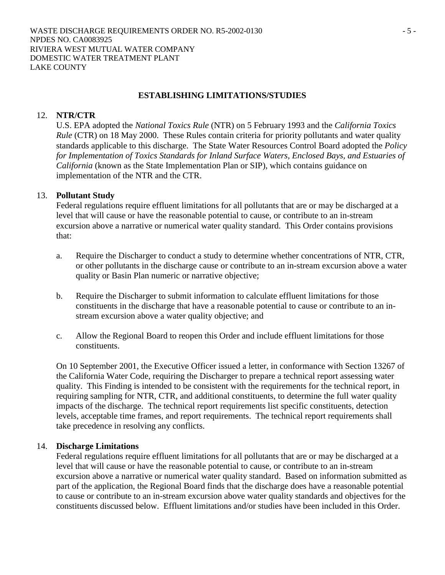# **ESTABLISHING LIMITATIONS/STUDIES**

#### 12. **NTR/CTR**

U.S. EPA adopted the *National Toxics Rule* (NTR) on 5 February 1993 and the *California Toxics Rule* (CTR) on 18 May 2000. These Rules contain criteria for priority pollutants and water quality standards applicable to this discharge. The State Water Resources Control Board adopted the *Policy for Implementation of Toxics Standards for Inland Surface Waters, Enclosed Bays, and Estuaries of California* (known as the State Implementation Plan or SIP), which contains guidance on implementation of the NTR and the CTR.

## 13. **Pollutant Study**

Federal regulations require effluent limitations for all pollutants that are or may be discharged at a level that will cause or have the reasonable potential to cause, or contribute to an in-stream excursion above a narrative or numerical water quality standard. This Order contains provisions that:

- a. Require the Discharger to conduct a study to determine whether concentrations of NTR, CTR, or other pollutants in the discharge cause or contribute to an in-stream excursion above a water quality or Basin Plan numeric or narrative objective;
- b. Require the Discharger to submit information to calculate effluent limitations for those constituents in the discharge that have a reasonable potential to cause or contribute to an instream excursion above a water quality objective; and
- c. Allow the Regional Board to reopen this Order and include effluent limitations for those constituents.

On 10 September 2001, the Executive Officer issued a letter, in conformance with Section 13267 of the California Water Code, requiring the Discharger to prepare a technical report assessing water quality. This Finding is intended to be consistent with the requirements for the technical report, in requiring sampling for NTR, CTR, and additional constituents, to determine the full water quality impacts of the discharge. The technical report requirements list specific constituents, detection levels, acceptable time frames, and report requirements. The technical report requirements shall take precedence in resolving any conflicts.

#### 14. **Discharge Limitations**

Federal regulations require effluent limitations for all pollutants that are or may be discharged at a level that will cause or have the reasonable potential to cause, or contribute to an in-stream excursion above a narrative or numerical water quality standard. Based on information submitted as part of the application, the Regional Board finds that the discharge does have a reasonable potential to cause or contribute to an in-stream excursion above water quality standards and objectives for the constituents discussed below. Effluent limitations and/or studies have been included in this Order.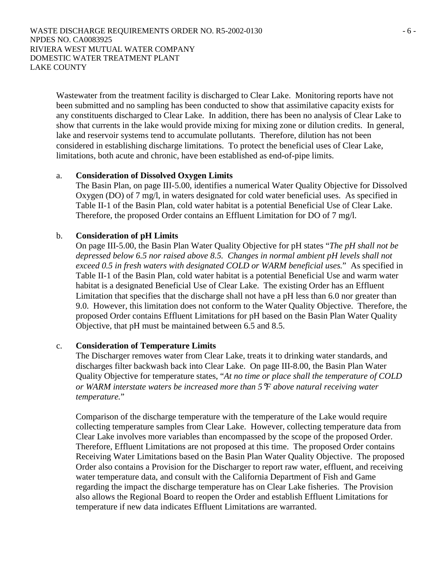WASTE DISCHARGE REQUIREMENTS ORDER NO. R5-2002-0130  $-6$ NPDES NO. CA0083925 RIVIERA WEST MUTUAL WATER COMPANY DOMESTIC WATER TREATMENT PLANT LAKE COUNTY

Wastewater from the treatment facility is discharged to Clear Lake. Monitoring reports have not been submitted and no sampling has been conducted to show that assimilative capacity exists for any constituents discharged to Clear Lake. In addition, there has been no analysis of Clear Lake to show that currents in the lake would provide mixing for mixing zone or dilution credits. In general, lake and reservoir systems tend to accumulate pollutants. Therefore, dilution has not been considered in establishing discharge limitations. To protect the beneficial uses of Clear Lake, limitations, both acute and chronic, have been established as end-of-pipe limits.

#### a. **Consideration of Dissolved Oxygen Limits**

The Basin Plan, on page III-5.00, identifies a numerical Water Quality Objective for Dissolved Oxygen (DO) of 7 mg/l, in waters designated for cold water beneficial uses. As specified in Table II-1 of the Basin Plan, cold water habitat is a potential Beneficial Use of Clear Lake. Therefore, the proposed Order contains an Effluent Limitation for DO of 7 mg/l.

#### b. **Consideration of pH Limits**

On page III-5.00, the Basin Plan Water Quality Objective for pH states "*The pH shall not be depressed below 6.5 nor raised above 8.5. Changes in normal ambient pH levels shall not exceed 0.5 in fresh waters with designated COLD or WARM beneficial uses.*" As specified in Table II-1 of the Basin Plan, cold water habitat is a potential Beneficial Use and warm water habitat is a designated Beneficial Use of Clear Lake. The existing Order has an Effluent Limitation that specifies that the discharge shall not have a pH less than 6.0 nor greater than 9.0. However, this limitation does not conform to the Water Quality Objective. Therefore, the proposed Order contains Effluent Limitations for pH based on the Basin Plan Water Quality Objective, that pH must be maintained between 6.5 and 8.5.

#### c. **Consideration of Temperature Limits**

The Discharger removes water from Clear Lake, treats it to drinking water standards, and discharges filter backwash back into Clear Lake. On page III-8.00, the Basin Plan Water Quality Objective for temperature states, "*At no time or place shall the temperature of COLD or WARM interstate waters be increased more than 5*°*F above natural receiving water temperature.*"

Comparison of the discharge temperature with the temperature of the Lake would require collecting temperature samples from Clear Lake. However, collecting temperature data from Clear Lake involves more variables than encompassed by the scope of the proposed Order. Therefore, Effluent Limitations are not proposed at this time. The proposed Order contains Receiving Water Limitations based on the Basin Plan Water Quality Objective. The proposed Order also contains a Provision for the Discharger to report raw water, effluent, and receiving water temperature data, and consult with the California Department of Fish and Game regarding the impact the discharge temperature has on Clear Lake fisheries. The Provision also allows the Regional Board to reopen the Order and establish Effluent Limitations for temperature if new data indicates Effluent Limitations are warranted.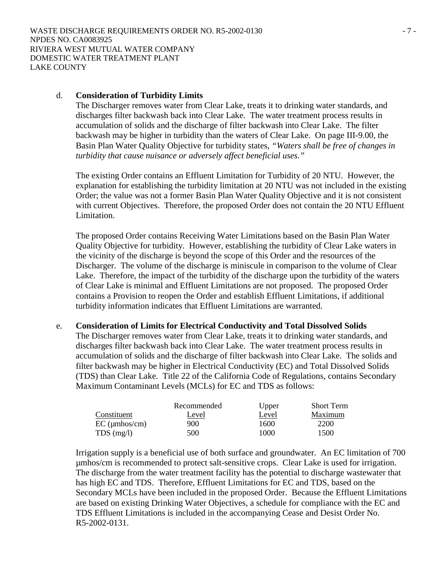#### d. **Consideration of Turbidity Limits**

The Discharger removes water from Clear Lake, treats it to drinking water standards, and discharges filter backwash back into Clear Lake. The water treatment process results in accumulation of solids and the discharge of filter backwash into Clear Lake. The filter backwash may be higher in turbidity than the waters of Clear Lake. On page III-9.00, the Basin Plan Water Quality Objective for turbidity states, *"Waters shall be free of changes in turbidity that cause nuisance or adversely affect beneficial uses."*

The existing Order contains an Effluent Limitation for Turbidity of 20 NTU. However, the explanation for establishing the turbidity limitation at 20 NTU was not included in the existing Order; the value was not a former Basin Plan Water Quality Objective and it is not consistent with current Objectives. Therefore, the proposed Order does not contain the 20 NTU Effluent Limitation.

The proposed Order contains Receiving Water Limitations based on the Basin Plan Water Quality Objective for turbidity. However, establishing the turbidity of Clear Lake waters in the vicinity of the discharge is beyond the scope of this Order and the resources of the Discharger. The volume of the discharge is miniscule in comparison to the volume of Clear Lake. Therefore, the impact of the turbidity of the discharge upon the turbidity of the waters of Clear Lake is minimal and Effluent Limitations are not proposed. The proposed Order contains a Provision to reopen the Order and establish Effluent Limitations, if additional turbidity information indicates that Effluent Limitations are warranted.

#### e. **Consideration of Limits for Electrical Conductivity and Total Dissolved Solids**

The Discharger removes water from Clear Lake, treats it to drinking water standards, and discharges filter backwash back into Clear Lake. The water treatment process results in accumulation of solids and the discharge of filter backwash into Clear Lake. The solids and filter backwash may be higher in Electrical Conductivity (EC) and Total Dissolved Solids (TDS) than Clear Lake. Title 22 of the California Code of Regulations, contains Secondary Maximum Contaminant Levels (MCLs) for EC and TDS as follows:

|                 | Recommended | Upper | <b>Short Term</b> |
|-----------------|-------------|-------|-------------------|
| Constituent     | Level       | Level | Maximum           |
| $EC$ (µmhos/cm) | 900         | 1600  | 2200              |
| $TDS$ (mg/l)    | 500         | 1000  | 1500              |

Irrigation supply is a beneficial use of both surface and groundwater. An EC limitation of 700 µmhos/cm is recommended to protect salt-sensitive crops. Clear Lake is used for irrigation. The discharge from the water treatment facility has the potential to discharge wastewater that has high EC and TDS. Therefore, Effluent Limitations for EC and TDS, based on the Secondary MCLs have been included in the proposed Order. Because the Effluent Limitations are based on existing Drinking Water Objectives, a schedule for compliance with the EC and TDS Effluent Limitations is included in the accompanying Cease and Desist Order No. R5-2002-0131.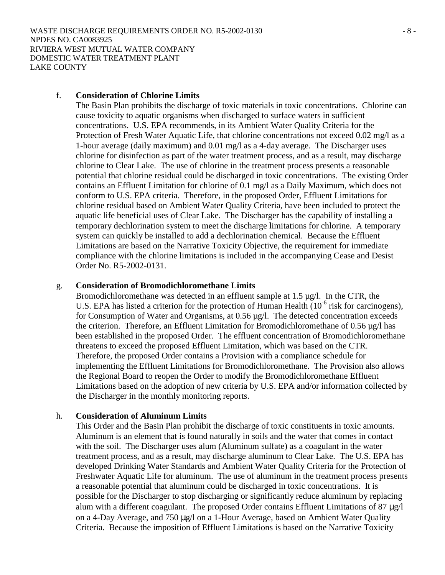#### f. **Consideration of Chlorine Limits**

The Basin Plan prohibits the discharge of toxic materials in toxic concentrations. Chlorine can cause toxicity to aquatic organisms when discharged to surface waters in sufficient concentrations. U.S. EPA recommends, in its Ambient Water Quality Criteria for the Protection of Fresh Water Aquatic Life, that chlorine concentrations not exceed 0.02 mg/l as a 1-hour average (daily maximum) and 0.01 mg/l as a 4-day average. The Discharger uses chlorine for disinfection as part of the water treatment process, and as a result, may discharge chlorine to Clear Lake. The use of chlorine in the treatment process presents a reasonable potential that chlorine residual could be discharged in toxic concentrations. The existing Order contains an Effluent Limitation for chlorine of 0.1 mg/l as a Daily Maximum, which does not conform to U.S. EPA criteria. Therefore, in the proposed Order, Effluent Limitations for chlorine residual based on Ambient Water Quality Criteria, have been included to protect the aquatic life beneficial uses of Clear Lake. The Discharger has the capability of installing a temporary dechlorination system to meet the discharge limitations for chlorine. A temporary system can quickly be installed to add a dechlorination chemical. Because the Effluent Limitations are based on the Narrative Toxicity Objective, the requirement for immediate compliance with the chlorine limitations is included in the accompanying Cease and Desist Order No. R5-2002-0131.

#### g. **Consideration of Bromodichloromethane Limits**

Bromodichloromethane was detected in an effluent sample at 1.5 µg/l. In the CTR, the U.S. EPA has listed a criterion for the protection of Human Health  $(10^{-6}$  risk for carcinogens), for Consumption of Water and Organisms, at 0.56 µg/l. The detected concentration exceeds the criterion. Therefore, an Effluent Limitation for Bromodichloromethane of 0.56 µg/l has been established in the proposed Order. The effluent concentration of Bromodichloromethane threatens to exceed the proposed Effluent Limitation, which was based on the CTR. Therefore, the proposed Order contains a Provision with a compliance schedule for implementing the Effluent Limitations for Bromodichloromethane. The Provision also allows the Regional Board to reopen the Order to modify the Bromodichloromethane Effluent Limitations based on the adoption of new criteria by U.S. EPA and/or information collected by the Discharger in the monthly monitoring reports.

## h. **Consideration of Aluminum Limits**

This Order and the Basin Plan prohibit the discharge of toxic constituents in toxic amounts. Aluminum is an element that is found naturally in soils and the water that comes in contact with the soil. The Discharger uses alum (Aluminum sulfate) as a coagulant in the water treatment process, and as a result, may discharge aluminum to Clear Lake. The U.S. EPA has developed Drinking Water Standards and Ambient Water Quality Criteria for the Protection of Freshwater Aquatic Life for aluminum. The use of aluminum in the treatment process presents a reasonable potential that aluminum could be discharged in toxic concentrations. It is possible for the Discharger to stop discharging or significantly reduce aluminum by replacing alum with a different coagulant. The proposed Order contains Effluent Limitations of 87 µg/l on a 4-Day Average, and 750 µg/l on a 1-Hour Average, based on Ambient Water Quality Criteria. Because the imposition of Effluent Limitations is based on the Narrative Toxicity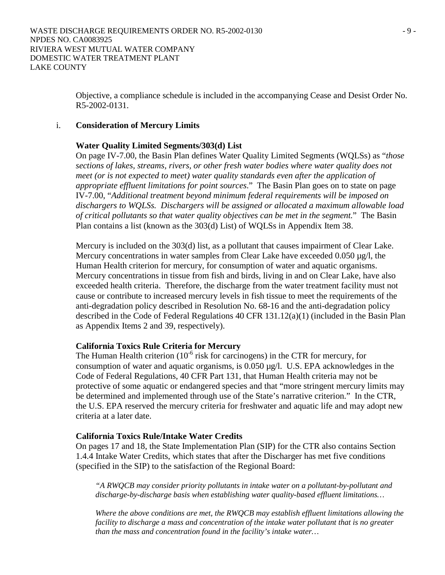Objective, a compliance schedule is included in the accompanying Cease and Desist Order No. R5-2002-0131.

#### i. **Consideration of Mercury Limits**

#### **Water Quality Limited Segments/303(d) List**

On page IV-7.00, the Basin Plan defines Water Quality Limited Segments (WQLSs) as "*those sections of lakes, streams, rivers, or other fresh water bodies where water quality does not meet (or is not expected to meet) water quality standards even after the application of appropriate effluent limitations for point sources*." The Basin Plan goes on to state on page IV-7.00, "*Additional treatment beyond minimum federal requirements will be imposed on dischargers to WQLSs. Dischargers will be assigned or allocated a maximum allowable load of critical pollutants so that water quality objectives can be met in the segment.*" The Basin Plan contains a list (known as the 303(d) List) of WQLSs in Appendix Item 38.

Mercury is included on the 303(d) list, as a pollutant that causes impairment of Clear Lake. Mercury concentrations in water samples from Clear Lake have exceeded 0.050  $\mu$ g/l, the Human Health criterion for mercury, for consumption of water and aquatic organisms. Mercury concentrations in tissue from fish and birds, living in and on Clear Lake, have also exceeded health criteria. Therefore, the discharge from the water treatment facility must not cause or contribute to increased mercury levels in fish tissue to meet the requirements of the anti-degradation policy described in Resolution No. 68-16 and the anti-degradation policy described in the Code of Federal Regulations 40 CFR 131.12(a)(1) (included in the Basin Plan as Appendix Items 2 and 39, respectively).

## **California Toxics Rule Criteria for Mercury**

The Human Health criterion  $(10^{-6}$  risk for carcinogens) in the CTR for mercury, for consumption of water and aquatic organisms, is  $0.050 \mu g/l$ . U.S. EPA acknowledges in the Code of Federal Regulations, 40 CFR Part 131, that Human Health criteria may not be protective of some aquatic or endangered species and that "more stringent mercury limits may be determined and implemented through use of the State's narrative criterion." In the CTR, the U.S. EPA reserved the mercury criteria for freshwater and aquatic life and may adopt new criteria at a later date.

#### **California Toxics Rule/Intake Water Credits**

On pages 17 and 18, the State Implementation Plan (SIP) for the CTR also contains Section 1.4.4 Intake Water Credits, which states that after the Discharger has met five conditions (specified in the SIP) to the satisfaction of the Regional Board:

*"A RWQCB may consider priority pollutants in intake water on a pollutant-by-pollutant and discharge-by-discharge basis when establishing water quality-based effluent limitations…* 

*Where the above conditions are met, the RWQCB may establish effluent limitations allowing the facility to discharge a mass and concentration of the intake water pollutant that is no greater than the mass and concentration found in the facility's intake water…*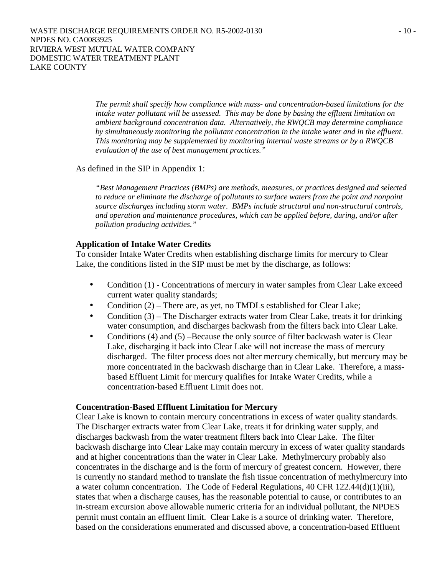*The permit shall specify how compliance with mass- and concentration-based limitations for the intake water pollutant will be assessed. This may be done by basing the effluent limitation on ambient background concentration data. Alternatively, the RWQCB may determine compliance by simultaneously monitoring the pollutant concentration in the intake water and in the effluent. This monitoring may be supplemented by monitoring internal waste streams or by a RWQCB evaluation of the use of best management practices."* 

#### As defined in the SIP in Appendix 1:

*"Best Management Practices (BMPs) are methods, measures, or practices designed and selected to reduce or eliminate the discharge of pollutants to surface waters from the point and nonpoint source discharges including storm water. BMPs include structural and non-structural controls, and operation and maintenance procedures, which can be applied before, during, and/or after pollution producing activities."* 

#### **Application of Intake Water Credits**

To consider Intake Water Credits when establishing discharge limits for mercury to Clear Lake, the conditions listed in the SIP must be met by the discharge, as follows:

- Condition (1) Concentrations of mercury in water samples from Clear Lake exceed current water quality standards;
- Condition (2) There are, as yet, no TMDLs established for Clear Lake;
- Condition (3) The Discharger extracts water from Clear Lake, treats it for drinking water consumption, and discharges backwash from the filters back into Clear Lake.
- Conditions (4) and (5) –Because the only source of filter backwash water is Clear Lake, discharging it back into Clear Lake will not increase the mass of mercury discharged. The filter process does not alter mercury chemically, but mercury may be more concentrated in the backwash discharge than in Clear Lake. Therefore, a massbased Effluent Limit for mercury qualifies for Intake Water Credits, while a concentration-based Effluent Limit does not.

#### **Concentration-Based Effluent Limitation for Mercury**

Clear Lake is known to contain mercury concentrations in excess of water quality standards. The Discharger extracts water from Clear Lake, treats it for drinking water supply, and discharges backwash from the water treatment filters back into Clear Lake. The filter backwash discharge into Clear Lake may contain mercury in excess of water quality standards and at higher concentrations than the water in Clear Lake. Methylmercury probably also concentrates in the discharge and is the form of mercury of greatest concern. However, there is currently no standard method to translate the fish tissue concentration of methylmercury into a water column concentration. The Code of Federal Regulations, 40 CFR 122.44(d)(1)(iii), states that when a discharge causes, has the reasonable potential to cause, or contributes to an in-stream excursion above allowable numeric criteria for an individual pollutant, the NPDES permit must contain an effluent limit. Clear Lake is a source of drinking water. Therefore, based on the considerations enumerated and discussed above, a concentration-based Effluent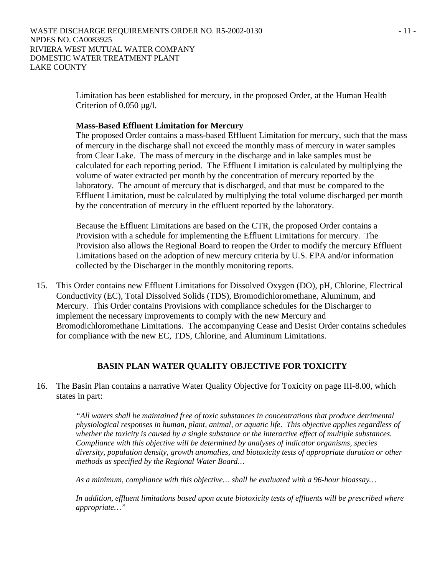Limitation has been established for mercury, in the proposed Order, at the Human Health Criterion of 0.050 µg/l.

#### **Mass-Based Effluent Limitation for Mercury**

The proposed Order contains a mass-based Effluent Limitation for mercury, such that the mass of mercury in the discharge shall not exceed the monthly mass of mercury in water samples from Clear Lake. The mass of mercury in the discharge and in lake samples must be calculated for each reporting period. The Effluent Limitation is calculated by multiplying the volume of water extracted per month by the concentration of mercury reported by the laboratory. The amount of mercury that is discharged, and that must be compared to the Effluent Limitation, must be calculated by multiplying the total volume discharged per month by the concentration of mercury in the effluent reported by the laboratory.

Because the Effluent Limitations are based on the CTR, the proposed Order contains a Provision with a schedule for implementing the Effluent Limitations for mercury. The Provision also allows the Regional Board to reopen the Order to modify the mercury Effluent Limitations based on the adoption of new mercury criteria by U.S. EPA and/or information collected by the Discharger in the monthly monitoring reports.

15. This Order contains new Effluent Limitations for Dissolved Oxygen (DO), pH, Chlorine, Electrical Conductivity (EC), Total Dissolved Solids (TDS), Bromodichloromethane, Aluminum, and Mercury. This Order contains Provisions with compliance schedules for the Discharger to implement the necessary improvements to comply with the new Mercury and Bromodichloromethane Limitations. The accompanying Cease and Desist Order contains schedules for compliance with the new EC, TDS, Chlorine, and Aluminum Limitations.

## **BASIN PLAN WATER QUALITY OBJECTIVE FOR TOXICITY**

16. The Basin Plan contains a narrative Water Quality Objective for Toxicity on page III-8.00, which states in part:

> *"All waters shall be maintained free of toxic substances in concentrations that produce detrimental physiological responses in human, plant, animal, or aquatic life. This objective applies regardless of whether the toxicity is caused by a single substance or the interactive effect of multiple substances. Compliance with this objective will be determined by analyses of indicator organisms, species diversity, population density, growth anomalies, and biotoxicity tests of appropriate duration or other methods as specified by the Regional Water Board…*

*As a minimum, compliance with this objective… shall be evaluated with a 96-hour bioassay…* 

*In addition, effluent limitations based upon acute biotoxicity tests of effluents will be prescribed where appropriate…"*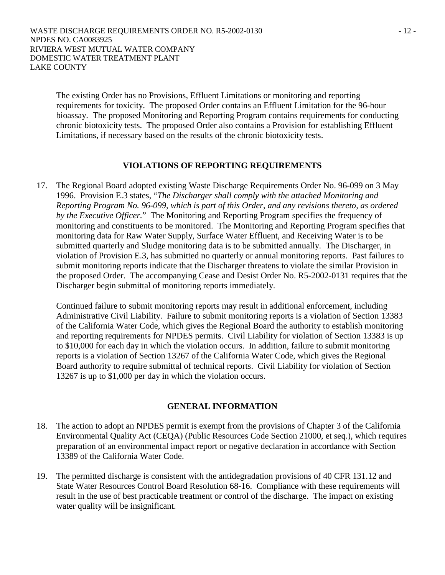The existing Order has no Provisions, Effluent Limitations or monitoring and reporting requirements for toxicity. The proposed Order contains an Effluent Limitation for the 96-hour bioassay. The proposed Monitoring and Reporting Program contains requirements for conducting chronic biotoxicity tests. The proposed Order also contains a Provision for establishing Effluent Limitations, if necessary based on the results of the chronic biotoxicity tests.

## **VIOLATIONS OF REPORTING REQUIREMENTS**

17. The Regional Board adopted existing Waste Discharge Requirements Order No. 96-099 on 3 May 1996. Provision E.3 states, "*The Discharger shall comply with the attached Monitoring and Reporting Program No. 96-099, which is part of this Order, and any revisions thereto, as ordered by the Executive Officer.*" The Monitoring and Reporting Program specifies the frequency of monitoring and constituents to be monitored. The Monitoring and Reporting Program specifies that monitoring data for Raw Water Supply, Surface Water Effluent, and Receiving Water is to be submitted quarterly and Sludge monitoring data is to be submitted annually. The Discharger, in violation of Provision E.3, has submitted no quarterly or annual monitoring reports. Past failures to submit monitoring reports indicate that the Discharger threatens to violate the similar Provision in the proposed Order. The accompanying Cease and Desist Order No. R5-2002-0131 requires that the Discharger begin submittal of monitoring reports immediately.

Continued failure to submit monitoring reports may result in additional enforcement, including Administrative Civil Liability. Failure to submit monitoring reports is a violation of Section 13383 of the California Water Code, which gives the Regional Board the authority to establish monitoring and reporting requirements for NPDES permits. Civil Liability for violation of Section 13383 is up to \$10,000 for each day in which the violation occurs. In addition, failure to submit monitoring reports is a violation of Section 13267 of the California Water Code, which gives the Regional Board authority to require submittal of technical reports. Civil Liability for violation of Section 13267 is up to \$1,000 per day in which the violation occurs.

## **GENERAL INFORMATION**

- 18. The action to adopt an NPDES permit is exempt from the provisions of Chapter 3 of the California Environmental Quality Act (CEQA) (Public Resources Code Section 21000, et seq.), which requires preparation of an environmental impact report or negative declaration in accordance with Section 13389 of the California Water Code.
- 19. The permitted discharge is consistent with the antidegradation provisions of 40 CFR 131.12 and State Water Resources Control Board Resolution 68-16. Compliance with these requirements will result in the use of best practicable treatment or control of the discharge. The impact on existing water quality will be insignificant.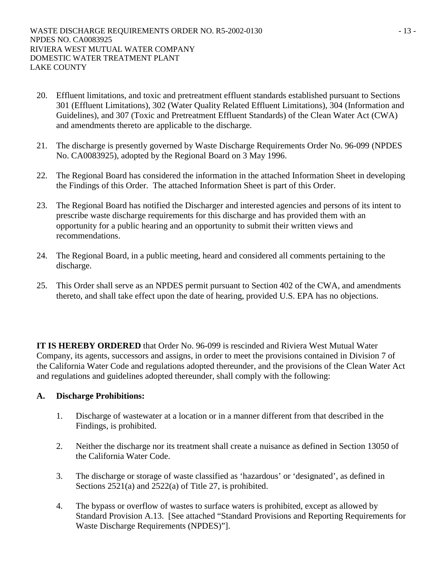- 20. Effluent limitations, and toxic and pretreatment effluent standards established pursuant to Sections 301 (Effluent Limitations), 302 (Water Quality Related Effluent Limitations), 304 (Information and Guidelines), and 307 (Toxic and Pretreatment Effluent Standards) of the Clean Water Act (CWA) and amendments thereto are applicable to the discharge.
- 21. The discharge is presently governed by Waste Discharge Requirements Order No. 96-099 (NPDES No. CA0083925), adopted by the Regional Board on 3 May 1996.
- 22. The Regional Board has considered the information in the attached Information Sheet in developing the Findings of this Order. The attached Information Sheet is part of this Order.
- 23. The Regional Board has notified the Discharger and interested agencies and persons of its intent to prescribe waste discharge requirements for this discharge and has provided them with an opportunity for a public hearing and an opportunity to submit their written views and recommendations.
- 24. The Regional Board, in a public meeting, heard and considered all comments pertaining to the discharge.
- 25. This Order shall serve as an NPDES permit pursuant to Section 402 of the CWA, and amendments thereto, and shall take effect upon the date of hearing, provided U.S. EPA has no objections.

**IT IS HEREBY ORDERED** that Order No. 96-099 is rescinded and Riviera West Mutual Water Company, its agents, successors and assigns, in order to meet the provisions contained in Division 7 of the California Water Code and regulations adopted thereunder, and the provisions of the Clean Water Act and regulations and guidelines adopted thereunder, shall comply with the following:

## **A. Discharge Prohibitions:**

- 1. Discharge of wastewater at a location or in a manner different from that described in the Findings, is prohibited.
- 2. Neither the discharge nor its treatment shall create a nuisance as defined in Section 13050 of the California Water Code.
- 3. The discharge or storage of waste classified as 'hazardous' or 'designated', as defined in Sections 2521(a) and 2522(a) of Title 27, is prohibited.
- 4. The bypass or overflow of wastes to surface waters is prohibited, except as allowed by Standard Provision A.13. [See attached "Standard Provisions and Reporting Requirements for Waste Discharge Requirements (NPDES)"].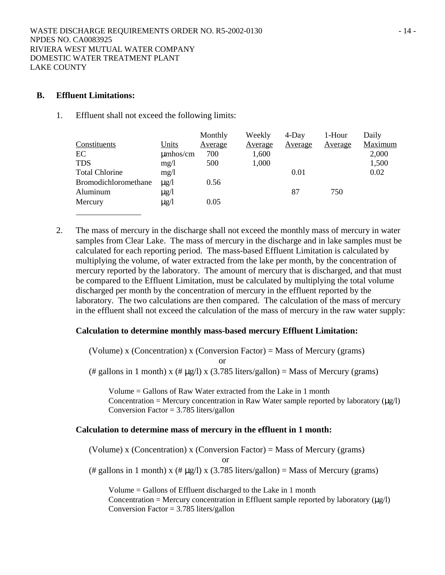## **B. Effluent Limitations:**

1. Effluent shall not exceed the following limits:

|               | Monthly        | Weekly         | 4-Day          | 1-Hour  | Daily   |
|---------------|----------------|----------------|----------------|---------|---------|
| Units         | <u>Average</u> | <u>Average</u> | <u>Average</u> | Average | Maximum |
| $\mu$ mhos/cm | 700            | 1,600          |                |         | 2,000   |
| mg/1          | 500            | 1,000          |                |         | 1,500   |
| mg/1          |                |                | 0.01           |         | 0.02    |
| $\mu$ g/l     | 0.56           |                |                |         |         |
| $\mu$ g/l     |                |                | 87             | 750     |         |
| $\mu$ g/l     | 0.05           |                |                |         |         |
|               |                |                |                |         |         |

2. The mass of mercury in the discharge shall not exceed the monthly mass of mercury in water samples from Clear Lake. The mass of mercury in the discharge and in lake samples must be calculated for each reporting period. The mass-based Effluent Limitation is calculated by multiplying the volume, of water extracted from the lake per month, by the concentration of mercury reported by the laboratory. The amount of mercury that is discharged, and that must be compared to the Effluent Limitation, must be calculated by multiplying the total volume discharged per month by the concentration of mercury in the effluent reported by the laboratory. The two calculations are then compared. The calculation of the mass of mercury in the effluent shall not exceed the calculation of the mass of mercury in the raw water supply:

#### **Calculation to determine monthly mass-based mercury Effluent Limitation:**

(Volume) x (Concentration) x (Conversion Factor) = Mass of Mercury (grams)

or

(# gallons in 1 month) x (#  $\mu$ g/l) x (3.785 liters/gallon) = Mass of Mercury (grams)

Volume = Gallons of Raw Water extracted from the Lake in 1 month Concentration = Mercury concentration in Raw Water sample reported by laboratory  $(\mu g/l)$ Conversion Factor = 3.785 liters/gallon

#### **Calculation to determine mass of mercury in the effluent in 1 month:**

(Volume) x (Concentration) x (Conversion Factor) = Mass of Mercury (grams)

or

(# gallons in 1 month) x (#  $\mu$ g/l) x (3.785 liters/gallon) = Mass of Mercury (grams)

Volume = Gallons of Effluent discharged to the Lake in 1 month Concentration = Mercury concentration in Effluent sample reported by laboratory  $(\mu g/l)$ Conversion Factor = 3.785 liters/gallon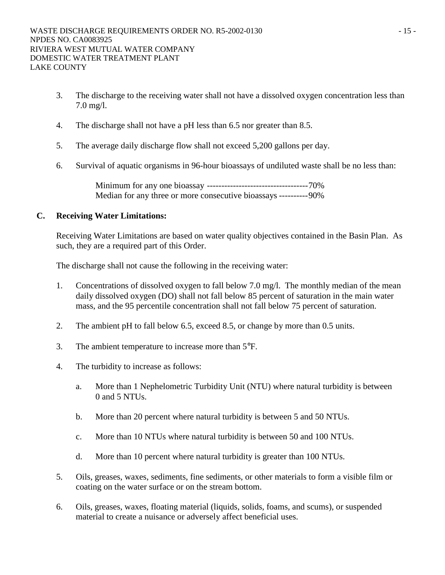- 3. The discharge to the receiving water shall not have a dissolved oxygen concentration less than 7.0 mg/l.
- 4. The discharge shall not have a pH less than 6.5 nor greater than 8.5.
- 5. The average daily discharge flow shall not exceed 5,200 gallons per day.
- 6. Survival of aquatic organisms in 96-hour bioassays of undiluted waste shall be no less than:

Minimum for any one bioassay -----------------------------------70% Median for any three or more consecutive bioassays ----------90%

## **C. Receiving Water Limitations:**

Receiving Water Limitations are based on water quality objectives contained in the Basin Plan. As such, they are a required part of this Order.

The discharge shall not cause the following in the receiving water:

- 1. Concentrations of dissolved oxygen to fall below 7.0 mg/l. The monthly median of the mean daily dissolved oxygen (DO) shall not fall below 85 percent of saturation in the main water mass, and the 95 percentile concentration shall not fall below 75 percent of saturation.
- 2. The ambient pH to fall below 6.5, exceed 8.5, or change by more than 0.5 units.
- 3. The ambient temperature to increase more than 5°F.
- 4. The turbidity to increase as follows:
	- a. More than 1 Nephelometric Turbidity Unit (NTU) where natural turbidity is between 0 and 5 NTUs.
	- b. More than 20 percent where natural turbidity is between 5 and 50 NTUs.
	- c. More than 10 NTUs where natural turbidity is between 50 and 100 NTUs.
	- d. More than 10 percent where natural turbidity is greater than 100 NTUs.
- 5. Oils, greases, waxes, sediments, fine sediments, or other materials to form a visible film or coating on the water surface or on the stream bottom.
- 6. Oils, greases, waxes, floating material (liquids, solids, foams, and scums), or suspended material to create a nuisance or adversely affect beneficial uses.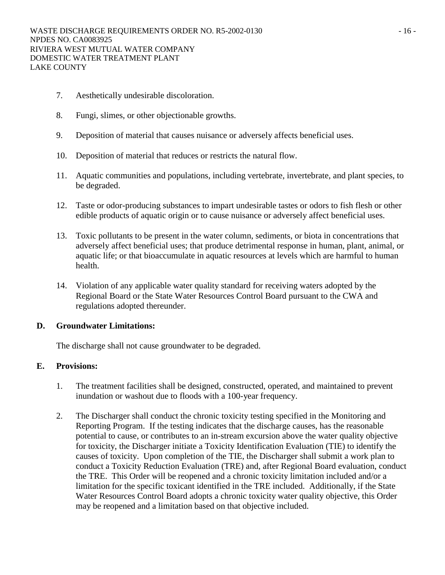- 7. Aesthetically undesirable discoloration.
- 8. Fungi, slimes, or other objectionable growths.
- 9. Deposition of material that causes nuisance or adversely affects beneficial uses.
- 10. Deposition of material that reduces or restricts the natural flow.
- 11. Aquatic communities and populations, including vertebrate, invertebrate, and plant species, to be degraded.
- 12. Taste or odor-producing substances to impart undesirable tastes or odors to fish flesh or other edible products of aquatic origin or to cause nuisance or adversely affect beneficial uses.
- 13. Toxic pollutants to be present in the water column, sediments, or biota in concentrations that adversely affect beneficial uses; that produce detrimental response in human, plant, animal, or aquatic life; or that bioaccumulate in aquatic resources at levels which are harmful to human health.
- 14. Violation of any applicable water quality standard for receiving waters adopted by the Regional Board or the State Water Resources Control Board pursuant to the CWA and regulations adopted thereunder.

## **D. Groundwater Limitations:**

The discharge shall not cause groundwater to be degraded.

## **E. Provisions:**

- 1. The treatment facilities shall be designed, constructed, operated, and maintained to prevent inundation or washout due to floods with a 100-year frequency.
- 2. The Discharger shall conduct the chronic toxicity testing specified in the Monitoring and Reporting Program. If the testing indicates that the discharge causes, has the reasonable potential to cause, or contributes to an in-stream excursion above the water quality objective for toxicity, the Discharger initiate a Toxicity Identification Evaluation (TIE) to identify the causes of toxicity. Upon completion of the TIE, the Discharger shall submit a work plan to conduct a Toxicity Reduction Evaluation (TRE) and, after Regional Board evaluation, conduct the TRE. This Order will be reopened and a chronic toxicity limitation included and/or a limitation for the specific toxicant identified in the TRE included. Additionally, if the State Water Resources Control Board adopts a chronic toxicity water quality objective, this Order may be reopened and a limitation based on that objective included.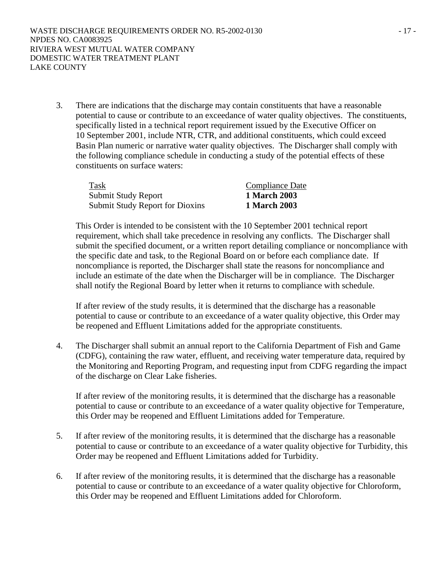3. There are indications that the discharge may contain constituents that have a reasonable potential to cause or contribute to an exceedance of water quality objectives. The constituents, specifically listed in a technical report requirement issued by the Executive Officer on 10 September 2001, include NTR, CTR, and additional constituents, which could exceed Basin Plan numeric or narrative water quality objectives. The Discharger shall comply with the following compliance schedule in conducting a study of the potential effects of these constituents on surface waters:

| Task                            | <b>Compliance Date</b> |
|---------------------------------|------------------------|
| Submit Study Report             | 1 March 2003           |
| Submit Study Report for Dioxins | 1 March 2003           |

This Order is intended to be consistent with the 10 September 2001 technical report requirement, which shall take precedence in resolving any conflicts. The Discharger shall submit the specified document, or a written report detailing compliance or noncompliance with the specific date and task, to the Regional Board on or before each compliance date. If noncompliance is reported, the Discharger shall state the reasons for noncompliance and include an estimate of the date when the Discharger will be in compliance. The Discharger shall notify the Regional Board by letter when it returns to compliance with schedule.

If after review of the study results, it is determined that the discharge has a reasonable potential to cause or contribute to an exceedance of a water quality objective, this Order may be reopened and Effluent Limitations added for the appropriate constituents.

4. The Discharger shall submit an annual report to the California Department of Fish and Game (CDFG), containing the raw water, effluent, and receiving water temperature data, required by the Monitoring and Reporting Program, and requesting input from CDFG regarding the impact of the discharge on Clear Lake fisheries.

If after review of the monitoring results, it is determined that the discharge has a reasonable potential to cause or contribute to an exceedance of a water quality objective for Temperature, this Order may be reopened and Effluent Limitations added for Temperature.

- 5. If after review of the monitoring results, it is determined that the discharge has a reasonable potential to cause or contribute to an exceedance of a water quality objective for Turbidity, this Order may be reopened and Effluent Limitations added for Turbidity.
- 6. If after review of the monitoring results, it is determined that the discharge has a reasonable potential to cause or contribute to an exceedance of a water quality objective for Chloroform, this Order may be reopened and Effluent Limitations added for Chloroform.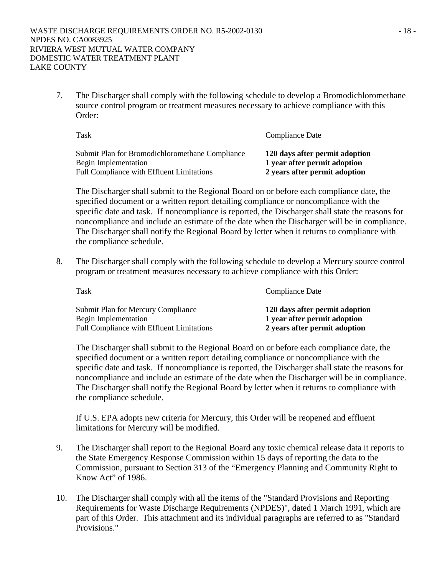7. The Discharger shall comply with the following schedule to develop a Bromodichloromethane source control program or treatment measures necessary to achieve compliance with this Order:

| <u>Task</u>                                                              | Compliance Date                                               |
|--------------------------------------------------------------------------|---------------------------------------------------------------|
| Submit Plan for Bromodichloromethane Compliance                          | 120 days after permit adoption                                |
| Begin Implementation<br><b>Full Compliance with Effluent Limitations</b> | 1 year after permit adoption<br>2 years after permit adoption |

The Discharger shall submit to the Regional Board on or before each compliance date, the specified document or a written report detailing compliance or noncompliance with the specific date and task. If noncompliance is reported, the Discharger shall state the reasons for noncompliance and include an estimate of the date when the Discharger will be in compliance. The Discharger shall notify the Regional Board by letter when it returns to compliance with the compliance schedule.

8. The Discharger shall comply with the following schedule to develop a Mercury source control program or treatment measures necessary to achieve compliance with this Order:

| <b>Task</b>                                                       | <b>Compliance Date</b>                                         |
|-------------------------------------------------------------------|----------------------------------------------------------------|
| <b>Submit Plan for Mercury Compliance</b><br>Begin Implementation | 120 days after permit adoption<br>1 year after permit adoption |
| <b>Full Compliance with Effluent Limitations</b>                  | 2 years after permit adoption                                  |

The Discharger shall submit to the Regional Board on or before each compliance date, the specified document or a written report detailing compliance or noncompliance with the specific date and task. If noncompliance is reported, the Discharger shall state the reasons for noncompliance and include an estimate of the date when the Discharger will be in compliance. The Discharger shall notify the Regional Board by letter when it returns to compliance with the compliance schedule.

If U.S. EPA adopts new criteria for Mercury, this Order will be reopened and effluent limitations for Mercury will be modified.

- 9. The Discharger shall report to the Regional Board any toxic chemical release data it reports to the State Emergency Response Commission within 15 days of reporting the data to the Commission, pursuant to Section 313 of the "Emergency Planning and Community Right to Know Act" of 1986.
- 10. The Discharger shall comply with all the items of the "Standard Provisions and Reporting Requirements for Waste Discharge Requirements (NPDES)", dated 1 March 1991, which are part of this Order. This attachment and its individual paragraphs are referred to as "Standard Provisions."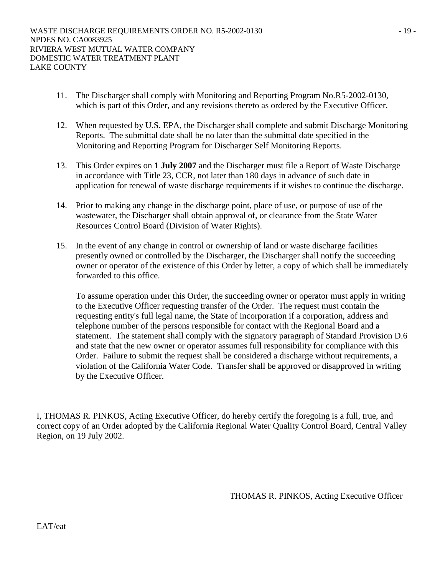- 11. The Discharger shall comply with Monitoring and Reporting Program No.R5-2002-0130, which is part of this Order, and any revisions thereto as ordered by the Executive Officer.
- 12. When requested by U.S. EPA, the Discharger shall complete and submit Discharge Monitoring Reports. The submittal date shall be no later than the submittal date specified in the Monitoring and Reporting Program for Discharger Self Monitoring Reports.
- 13. This Order expires on **1 July 2007** and the Discharger must file a Report of Waste Discharge in accordance with Title 23, CCR, not later than 180 days in advance of such date in application for renewal of waste discharge requirements if it wishes to continue the discharge.
- 14. Prior to making any change in the discharge point, place of use, or purpose of use of the wastewater, the Discharger shall obtain approval of, or clearance from the State Water Resources Control Board (Division of Water Rights).
- 15. In the event of any change in control or ownership of land or waste discharge facilities presently owned or controlled by the Discharger, the Discharger shall notify the succeeding owner or operator of the existence of this Order by letter, a copy of which shall be immediately forwarded to this office.

To assume operation under this Order, the succeeding owner or operator must apply in writing to the Executive Officer requesting transfer of the Order. The request must contain the requesting entity's full legal name, the State of incorporation if a corporation, address and telephone number of the persons responsible for contact with the Regional Board and a statement. The statement shall comply with the signatory paragraph of Standard Provision D.6 and state that the new owner or operator assumes full responsibility for compliance with this Order. Failure to submit the request shall be considered a discharge without requirements, a violation of the California Water Code. Transfer shall be approved or disapproved in writing by the Executive Officer.

I, THOMAS R. PINKOS, Acting Executive Officer, do hereby certify the foregoing is a full, true, and correct copy of an Order adopted by the California Regional Water Quality Control Board, Central Valley Region, on 19 July 2002.

THOMAS R. PINKOS, Acting Executive Officer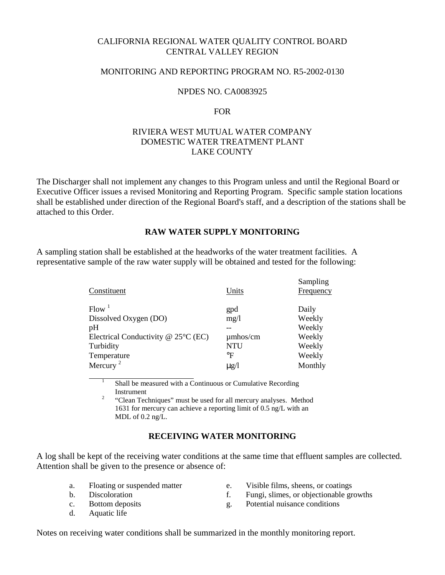# CALIFORNIA REGIONAL WATER QUALITY CONTROL BOARD CENTRAL VALLEY REGION

# MONITORING AND REPORTING PROGRAM NO. R5-2002-0130

#### NPDES NO. CA0083925

#### FOR

# RIVIERA WEST MUTUAL WATER COMPANY DOMESTIC WATER TREATMENT PLANT LAKE COUNTY

The Discharger shall not implement any changes to this Program unless and until the Regional Board or Executive Officer issues a revised Monitoring and Reporting Program. Specific sample station locations shall be established under direction of the Regional Board's staff, and a description of the stations shall be attached to this Order.

# **RAW WATER SUPPLY MONITORING**

A sampling station shall be established at the headworks of the water treatment facilities. A representative sample of the raw water supply will be obtained and tested for the following:

| Constituent                              | Units         | Sampling<br>Frequency |
|------------------------------------------|---------------|-----------------------|
| Flow <sup>1</sup>                        | gpd           | Daily                 |
| Dissolved Oxygen (DO)                    | mg/1          | Weekly                |
| pH                                       |               | Weekly                |
| Electrical Conductivity $@$ 25 $°C$ (EC) | $\mu$ mhos/cm | Weekly                |
| Turbidity                                | NTU           | Weekly                |
| Temperature                              | $\circ$ F     | Weekly                |
| Mercury <sup>2</sup>                     | $\mu$ g/l     | Monthly               |

1 Shall be measured with a Continuous or Cumulative Recording  $\frac{1}{2}$  Instrument

 "Clean Techniques" must be used for all mercury analyses. Method 1631 for mercury can achieve a reporting limit of 0.5 ng/L with an MDL of 0.2 ng/L.

# **RECEIVING WATER MONITORING**

A log shall be kept of the receiving water conditions at the same time that effluent samples are collected. Attention shall be given to the presence or absence of:

- 
- 
- 
- d. Aquatic life
- a. Floating or suspended matter e. Visible films, sheens, or coatings
- b. Discoloration f. Fungi, slimes, or objectionable growths
- c. Bottom deposits g. Potential nuisance conditions

Notes on receiving water conditions shall be summarized in the monthly monitoring report.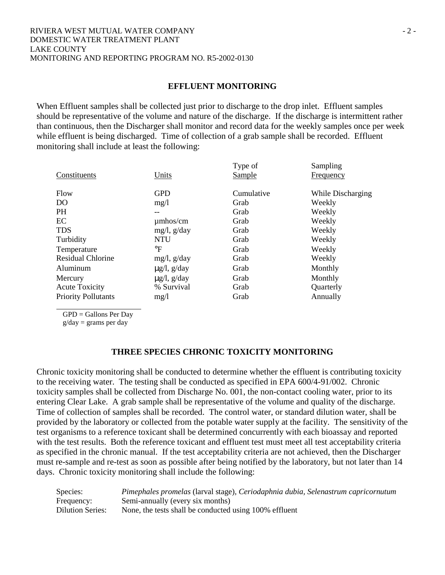#### RIVIERA WEST MUTUAL WATER COMPANY  $\overline{2}$  -DOMESTIC WATER TREATMENT PLANT LAKE COUNTY MONITORING AND REPORTING PROGRAM NO. R5-2002-0130

#### **EFFLUENT MONITORING**

When Effluent samples shall be collected just prior to discharge to the drop inlet. Effluent samples should be representative of the volume and nature of the discharge. If the discharge is intermittent rather than continuous, then the Discharger shall monitor and record data for the weekly samples once per week while effluent is being discharged. Time of collection of a grab sample shall be recorded. Effluent monitoring shall include at least the following:

| While Discharging |
|-------------------|
|                   |
|                   |
|                   |
|                   |
|                   |
|                   |
|                   |
|                   |
|                   |
|                   |
|                   |
|                   |

GPD = Gallons Per Day

 $g/day = grams$  per day

#### **THREE SPECIES CHRONIC TOXICITY MONITORING**

Chronic toxicity monitoring shall be conducted to determine whether the effluent is contributing toxicity to the receiving water. The testing shall be conducted as specified in EPA 600/4-91/002. Chronic toxicity samples shall be collected from Discharge No. 001, the non-contact cooling water, prior to its entering Clear Lake. A grab sample shall be representative of the volume and quality of the discharge. Time of collection of samples shall be recorded. The control water, or standard dilution water, shall be provided by the laboratory or collected from the potable water supply at the facility. The sensitivity of the test organisms to a reference toxicant shall be determined concurrently with each bioassay and reported with the test results. Both the reference toxicant and effluent test must meet all test acceptability criteria as specified in the chronic manual. If the test acceptability criteria are not achieved, then the Discharger must re-sample and re-test as soon as possible after being notified by the laboratory, but not later than 14 days. Chronic toxicity monitoring shall include the following:

| Species:         | Pimephales promelas (larval stage), Ceriodaphnia dubia, Selenastrum capricornutum |
|------------------|-----------------------------------------------------------------------------------|
| Frequency:       | Semi-annually (every six months)                                                  |
| Dilution Series: | None, the tests shall be conducted using 100% effluent                            |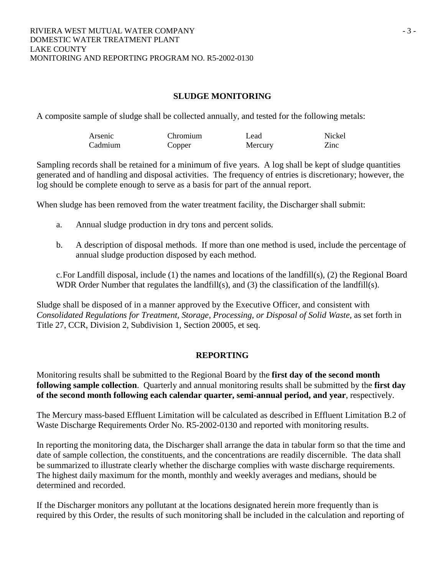# **SLUDGE MONITORING**

A composite sample of sludge shall be collected annually, and tested for the following metals:

| Arsenic | Chromium | Lead    | Nickel |
|---------|----------|---------|--------|
| Cadmium | Copper   | Mercury | Zinc   |

Sampling records shall be retained for a minimum of five years. A log shall be kept of sludge quantities generated and of handling and disposal activities. The frequency of entries is discretionary; however, the log should be complete enough to serve as a basis for part of the annual report.

When sludge has been removed from the water treatment facility, the Discharger shall submit:

- a. Annual sludge production in dry tons and percent solids.
- b. A description of disposal methods. If more than one method is used, include the percentage of annual sludge production disposed by each method.

c. For Landfill disposal, include (1) the names and locations of the landfill(s), (2) the Regional Board WDR Order Number that regulates the landfill(s), and (3) the classification of the landfill(s).

Sludge shall be disposed of in a manner approved by the Executive Officer, and consistent with *Consolidated Regulations for Treatment, Storage, Processing, or Disposal of Solid Waste,* as set forth in Title 27, CCR, Division 2, Subdivision 1, Section 20005, et seq.

# **REPORTING**

Monitoring results shall be submitted to the Regional Board by the **first day of the second month following sample collection**. Quarterly and annual monitoring results shall be submitted by the **first day of the second month following each calendar quarter, semi-annual period, and year**, respectively.

The Mercury mass-based Effluent Limitation will be calculated as described in Effluent Limitation B.2 of Waste Discharge Requirements Order No. R5-2002-0130 and reported with monitoring results.

In reporting the monitoring data, the Discharger shall arrange the data in tabular form so that the time and date of sample collection, the constituents, and the concentrations are readily discernible. The data shall be summarized to illustrate clearly whether the discharge complies with waste discharge requirements. The highest daily maximum for the month, monthly and weekly averages and medians, should be determined and recorded.

If the Discharger monitors any pollutant at the locations designated herein more frequently than is required by this Order, the results of such monitoring shall be included in the calculation and reporting of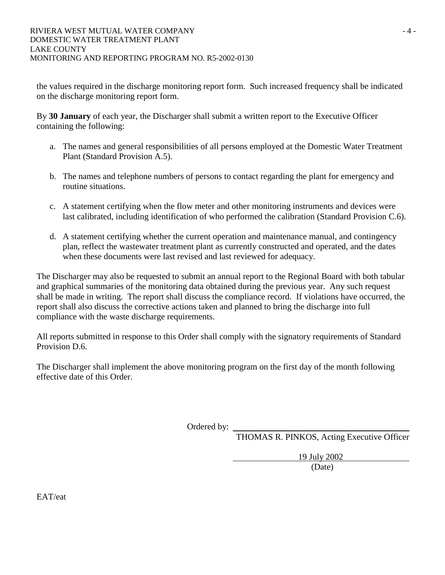the values required in the discharge monitoring report form. Such increased frequency shall be indicated on the discharge monitoring report form.

By **30 January** of each year, the Discharger shall submit a written report to the Executive Officer containing the following:

- a. The names and general responsibilities of all persons employed at the Domestic Water Treatment Plant (Standard Provision A.5).
- b. The names and telephone numbers of persons to contact regarding the plant for emergency and routine situations.
- c. A statement certifying when the flow meter and other monitoring instruments and devices were last calibrated, including identification of who performed the calibration (Standard Provision C.6).
- d. A statement certifying whether the current operation and maintenance manual, and contingency plan, reflect the wastewater treatment plant as currently constructed and operated, and the dates when these documents were last revised and last reviewed for adequacy.

The Discharger may also be requested to submit an annual report to the Regional Board with both tabular and graphical summaries of the monitoring data obtained during the previous year. Any such request shall be made in writing. The report shall discuss the compliance record. If violations have occurred, the report shall also discuss the corrective actions taken and planned to bring the discharge into full compliance with the waste discharge requirements.

All reports submitted in response to this Order shall comply with the signatory requirements of Standard Provision D.6.

The Discharger shall implement the above monitoring program on the first day of the month following effective date of this Order.

Ordered by:

THOMAS R. PINKOS, Acting Executive Officer

19 July 2002

(Date)

EAT/eat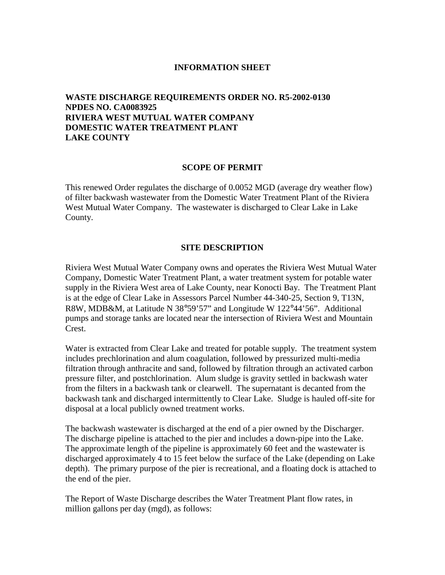#### **INFORMATION SHEET**

# **WASTE DISCHARGE REQUIREMENTS ORDER NO. R5-2002-0130 NPDES NO. CA0083925 RIVIERA WEST MUTUAL WATER COMPANY DOMESTIC WATER TREATMENT PLANT LAKE COUNTY**

#### **SCOPE OF PERMIT**

This renewed Order regulates the discharge of 0.0052 MGD (average dry weather flow) of filter backwash wastewater from the Domestic Water Treatment Plant of the Riviera West Mutual Water Company. The wastewater is discharged to Clear Lake in Lake County.

#### **SITE DESCRIPTION**

Riviera West Mutual Water Company owns and operates the Riviera West Mutual Water Company, Domestic Water Treatment Plant, a water treatment system for potable water supply in the Riviera West area of Lake County, near Konocti Bay. The Treatment Plant is at the edge of Clear Lake in Assessors Parcel Number 44-340-25, Section 9, T13N, R8W, MDB&M, at Latitude N 38°59'57" and Longitude W 122°44'56". Additional pumps and storage tanks are located near the intersection of Riviera West and Mountain Crest.

Water is extracted from Clear Lake and treated for potable supply. The treatment system includes prechlorination and alum coagulation, followed by pressurized multi-media filtration through anthracite and sand, followed by filtration through an activated carbon pressure filter, and postchlorination. Alum sludge is gravity settled in backwash water from the filters in a backwash tank or clearwell. The supernatant is decanted from the backwash tank and discharged intermittently to Clear Lake. Sludge is hauled off-site for disposal at a local publicly owned treatment works.

The backwash wastewater is discharged at the end of a pier owned by the Discharger. The discharge pipeline is attached to the pier and includes a down-pipe into the Lake. The approximate length of the pipeline is approximately 60 feet and the wastewater is discharged approximately 4 to 15 feet below the surface of the Lake (depending on Lake depth). The primary purpose of the pier is recreational, and a floating dock is attached to the end of the pier.

The Report of Waste Discharge describes the Water Treatment Plant flow rates, in million gallons per day (mgd), as follows: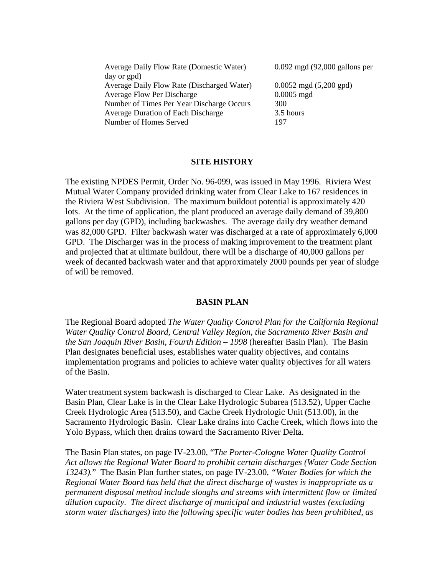| Average Daily Flow Rate (Domestic Water)   | $0.092 \text{ mgd}$ (92,000 gallons per  |
|--------------------------------------------|------------------------------------------|
| day or gpd)                                |                                          |
| Average Daily Flow Rate (Discharged Water) | $0.0052 \text{ mgd} (5,200 \text{ gpd})$ |
| <b>Average Flow Per Discharge</b>          | $0.0005$ mgd                             |
| Number of Times Per Year Discharge Occurs  | 300                                      |
| <b>Average Duration of Each Discharge</b>  | 3.5 hours                                |
| Number of Homes Served                     | 197                                      |

#### **SITE HISTORY**

The existing NPDES Permit, Order No. 96-099, was issued in May 1996. Riviera West Mutual Water Company provided drinking water from Clear Lake to 167 residences in the Riviera West Subdivision. The maximum buildout potential is approximately 420 lots. At the time of application, the plant produced an average daily demand of 39,800 gallons per day (GPD), including backwashes. The average daily dry weather demand was 82,000 GPD. Filter backwash water was discharged at a rate of approximately 6,000 GPD. The Discharger was in the process of making improvement to the treatment plant and projected that at ultimate buildout, there will be a discharge of 40,000 gallons per week of decanted backwash water and that approximately 2000 pounds per year of sludge of will be removed.

#### **BASIN PLAN**

The Regional Board adopted *The Water Quality Control Plan for the California Regional Water Quality Control Board, Central Valley Region, the Sacramento River Basin and the San Joaquin River Basin, Fourth Edition – 1998* (hereafter Basin Plan). The Basin Plan designates beneficial uses, establishes water quality objectives, and contains implementation programs and policies to achieve water quality objectives for all waters of the Basin.

Water treatment system backwash is discharged to Clear Lake. As designated in the Basin Plan, Clear Lake is in the Clear Lake Hydrologic Subarea (513.52), Upper Cache Creek Hydrologic Area (513.50), and Cache Creek Hydrologic Unit (513.00), in the Sacramento Hydrologic Basin. Clear Lake drains into Cache Creek, which flows into the Yolo Bypass, which then drains toward the Sacramento River Delta.

The Basin Plan states, on page IV-23.00, "*The Porter-Cologne Water Quality Control Act allows the Regional Water Board to prohibit certain discharges (Water Code Section 13243).*" The Basin Plan further states, on page IV-23.00, *"Water Bodies for which the Regional Water Board has held that the direct discharge of wastes is inappropriate as a permanent disposal method include sloughs and streams with intermittent flow or limited dilution capacity. The direct discharge of municipal and industrial wastes (excluding storm water discharges) into the following specific water bodies has been prohibited, as*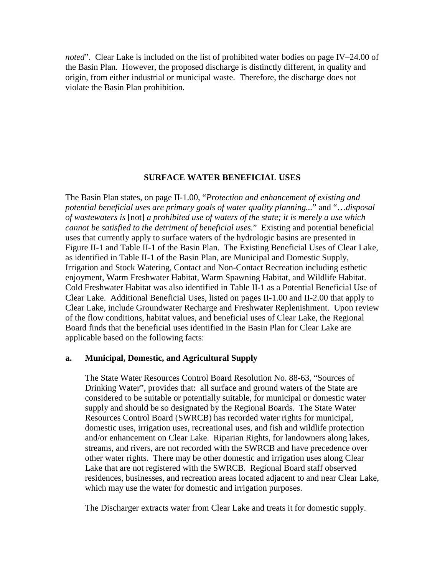*noted*". Clear Lake is included on the list of prohibited water bodies on page IV–24.00 of the Basin Plan. However, the proposed discharge is distinctly different, in quality and origin, from either industrial or municipal waste. Therefore, the discharge does not violate the Basin Plan prohibition.

#### **SURFACE WATER BENEFICIAL USES**

The Basin Plan states, on page II-1.00, "*Protection and enhancement of existing and potential beneficial uses are primary goals of water quality planning...*" and "…*disposal of wastewaters is* [not] *a prohibited use of waters of the state; it is merely a use which cannot be satisfied to the detriment of beneficial uses.*" Existing and potential beneficial uses that currently apply to surface waters of the hydrologic basins are presented in Figure II-1 and Table II-1 of the Basin Plan. The Existing Beneficial Uses of Clear Lake, as identified in Table II-1 of the Basin Plan, are Municipal and Domestic Supply, Irrigation and Stock Watering, Contact and Non-Contact Recreation including esthetic enjoyment, Warm Freshwater Habitat, Warm Spawning Habitat, and Wildlife Habitat. Cold Freshwater Habitat was also identified in Table II-1 as a Potential Beneficial Use of Clear Lake. Additional Beneficial Uses, listed on pages II-1.00 and II-2.00 that apply to Clear Lake, include Groundwater Recharge and Freshwater Replenishment. Upon review of the flow conditions, habitat values, and beneficial uses of Clear Lake, the Regional Board finds that the beneficial uses identified in the Basin Plan for Clear Lake are applicable based on the following facts:

#### **a. Municipal, Domestic, and Agricultural Supply**

The State Water Resources Control Board Resolution No. 88-63, "Sources of Drinking Water", provides that: all surface and ground waters of the State are considered to be suitable or potentially suitable, for municipal or domestic water supply and should be so designated by the Regional Boards. The State Water Resources Control Board (SWRCB) has recorded water rights for municipal, domestic uses, irrigation uses, recreational uses, and fish and wildlife protection and/or enhancement on Clear Lake. Riparian Rights, for landowners along lakes, streams, and rivers, are not recorded with the SWRCB and have precedence over other water rights. There may be other domestic and irrigation uses along Clear Lake that are not registered with the SWRCB. Regional Board staff observed residences, businesses, and recreation areas located adjacent to and near Clear Lake, which may use the water for domestic and irrigation purposes.

The Discharger extracts water from Clear Lake and treats it for domestic supply.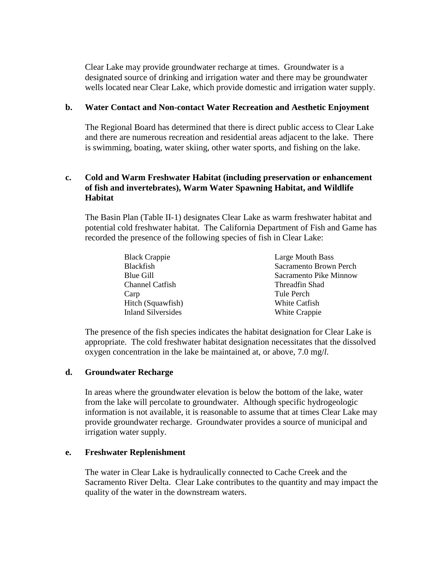Clear Lake may provide groundwater recharge at times. Groundwater is a designated source of drinking and irrigation water and there may be groundwater wells located near Clear Lake, which provide domestic and irrigation water supply.

#### **b. Water Contact and Non-contact Water Recreation and Aesthetic Enjoyment**

The Regional Board has determined that there is direct public access to Clear Lake and there are numerous recreation and residential areas adjacent to the lake. There is swimming, boating, water skiing, other water sports, and fishing on the lake.

# **c. Cold and Warm Freshwater Habitat (including preservation or enhancement of fish and invertebrates), Warm Water Spawning Habitat, and Wildlife Habitat**

The Basin Plan (Table II-1) designates Clear Lake as warm freshwater habitat and potential cold freshwater habitat. The California Department of Fish and Game has recorded the presence of the following species of fish in Clear Lake:

| <b>Black Crappie</b>   | Large Mouth Bass       |
|------------------------|------------------------|
| <b>Blackfish</b>       | Sacramento Brown Perch |
| Blue Gill              | Sacramento Pike Minnow |
| <b>Channel Catfish</b> | Threadfin Shad         |
| Carp                   | Tule Perch             |
| Hitch (Squawfish)      | White Catfish          |
| Inland Silversides     | White Crappie          |

The presence of the fish species indicates the habitat designation for Clear Lake is appropriate. The cold freshwater habitat designation necessitates that the dissolved oxygen concentration in the lake be maintained at, or above, 7.0 mg/*l*.

## **d. Groundwater Recharge**

In areas where the groundwater elevation is below the bottom of the lake, water from the lake will percolate to groundwater. Although specific hydrogeologic information is not available, it is reasonable to assume that at times Clear Lake may provide groundwater recharge. Groundwater provides a source of municipal and irrigation water supply.

## **e. Freshwater Replenishment**

The water in Clear Lake is hydraulically connected to Cache Creek and the Sacramento River Delta. Clear Lake contributes to the quantity and may impact the quality of the water in the downstream waters.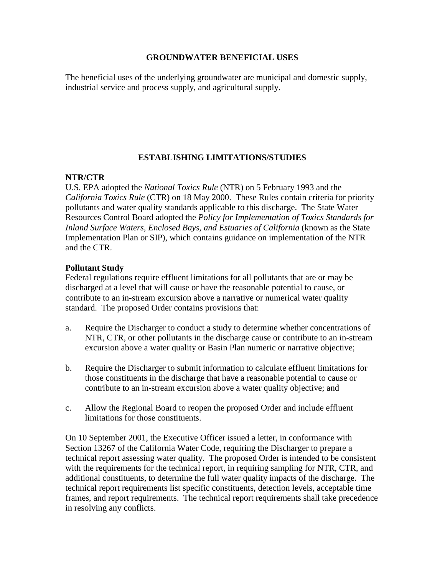#### **GROUNDWATER BENEFICIAL USES**

The beneficial uses of the underlying groundwater are municipal and domestic supply, industrial service and process supply, and agricultural supply.

# **ESTABLISHING LIMITATIONS/STUDIES**

# **NTR/CTR**

U.S. EPA adopted the *National Toxics Rule* (NTR) on 5 February 1993 and the *California Toxics Rule* (CTR) on 18 May 2000. These Rules contain criteria for priority pollutants and water quality standards applicable to this discharge. The State Water Resources Control Board adopted the *Policy for Implementation of Toxics Standards for Inland Surface Waters, Enclosed Bays, and Estuaries of California* (known as the State Implementation Plan or SIP), which contains guidance on implementation of the NTR and the CTR.

# **Pollutant Study**

Federal regulations require effluent limitations for all pollutants that are or may be discharged at a level that will cause or have the reasonable potential to cause, or contribute to an in-stream excursion above a narrative or numerical water quality standard. The proposed Order contains provisions that:

- a. Require the Discharger to conduct a study to determine whether concentrations of NTR, CTR, or other pollutants in the discharge cause or contribute to an in-stream excursion above a water quality or Basin Plan numeric or narrative objective;
- b. Require the Discharger to submit information to calculate effluent limitations for those constituents in the discharge that have a reasonable potential to cause or contribute to an in-stream excursion above a water quality objective; and
- c. Allow the Regional Board to reopen the proposed Order and include effluent limitations for those constituents.

On 10 September 2001, the Executive Officer issued a letter, in conformance with Section 13267 of the California Water Code, requiring the Discharger to prepare a technical report assessing water quality. The proposed Order is intended to be consistent with the requirements for the technical report, in requiring sampling for NTR, CTR, and additional constituents, to determine the full water quality impacts of the discharge. The technical report requirements list specific constituents, detection levels, acceptable time frames, and report requirements. The technical report requirements shall take precedence in resolving any conflicts.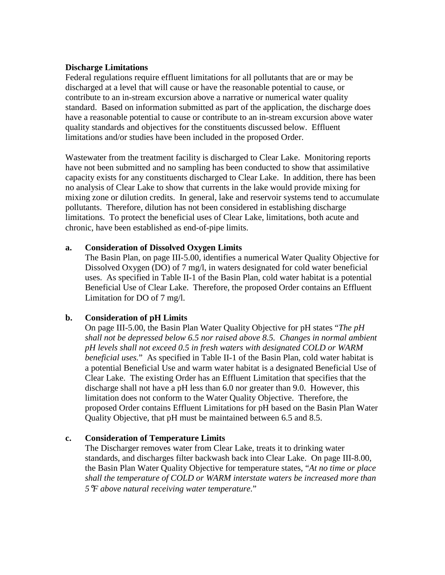#### **Discharge Limitations**

Federal regulations require effluent limitations for all pollutants that are or may be discharged at a level that will cause or have the reasonable potential to cause, or contribute to an in-stream excursion above a narrative or numerical water quality standard. Based on information submitted as part of the application, the discharge does have a reasonable potential to cause or contribute to an in-stream excursion above water quality standards and objectives for the constituents discussed below. Effluent limitations and/or studies have been included in the proposed Order.

Wastewater from the treatment facility is discharged to Clear Lake. Monitoring reports have not been submitted and no sampling has been conducted to show that assimilative capacity exists for any constituents discharged to Clear Lake. In addition, there has been no analysis of Clear Lake to show that currents in the lake would provide mixing for mixing zone or dilution credits. In general, lake and reservoir systems tend to accumulate pollutants. Therefore, dilution has not been considered in establishing discharge limitations. To protect the beneficial uses of Clear Lake, limitations, both acute and chronic, have been established as end-of-pipe limits.

# **a. Consideration of Dissolved Oxygen Limits**

The Basin Plan, on page III-5.00, identifies a numerical Water Quality Objective for Dissolved Oxygen (DO) of 7 mg/l, in waters designated for cold water beneficial uses. As specified in Table II-1 of the Basin Plan, cold water habitat is a potential Beneficial Use of Clear Lake. Therefore, the proposed Order contains an Effluent Limitation for DO of 7 mg/l.

# **b. Consideration of pH Limits**

On page III-5.00, the Basin Plan Water Quality Objective for pH states "*The pH shall not be depressed below 6.5 nor raised above 8.5. Changes in normal ambient pH levels shall not exceed 0.5 in fresh waters with designated COLD or WARM beneficial uses.*" As specified in Table II-1 of the Basin Plan, cold water habitat is a potential Beneficial Use and warm water habitat is a designated Beneficial Use of Clear Lake. The existing Order has an Effluent Limitation that specifies that the discharge shall not have a pH less than 6.0 nor greater than 9.0. However, this limitation does not conform to the Water Quality Objective. Therefore, the proposed Order contains Effluent Limitations for pH based on the Basin Plan Water Quality Objective, that pH must be maintained between 6.5 and 8.5.

## **c. Consideration of Temperature Limits**

The Discharger removes water from Clear Lake, treats it to drinking water standards, and discharges filter backwash back into Clear Lake. On page III-8.00, the Basin Plan Water Quality Objective for temperature states, "*At no time or place shall the temperature of COLD or WARM interstate waters be increased more than 5*°*F above natural receiving water temperature.*"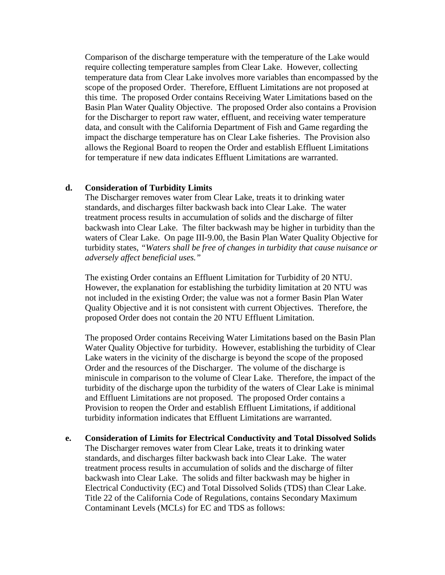Comparison of the discharge temperature with the temperature of the Lake would require collecting temperature samples from Clear Lake. However, collecting temperature data from Clear Lake involves more variables than encompassed by the scope of the proposed Order. Therefore, Effluent Limitations are not proposed at this time. The proposed Order contains Receiving Water Limitations based on the Basin Plan Water Quality Objective. The proposed Order also contains a Provision for the Discharger to report raw water, effluent, and receiving water temperature data, and consult with the California Department of Fish and Game regarding the impact the discharge temperature has on Clear Lake fisheries. The Provision also allows the Regional Board to reopen the Order and establish Effluent Limitations for temperature if new data indicates Effluent Limitations are warranted.

#### **d. Consideration of Turbidity Limits**

The Discharger removes water from Clear Lake, treats it to drinking water standards, and discharges filter backwash back into Clear Lake. The water treatment process results in accumulation of solids and the discharge of filter backwash into Clear Lake. The filter backwash may be higher in turbidity than the waters of Clear Lake. On page III-9.00, the Basin Plan Water Quality Objective for turbidity states, *"Waters shall be free of changes in turbidity that cause nuisance or adversely affect beneficial uses."*

The existing Order contains an Effluent Limitation for Turbidity of 20 NTU. However, the explanation for establishing the turbidity limitation at 20 NTU was not included in the existing Order; the value was not a former Basin Plan Water Quality Objective and it is not consistent with current Objectives. Therefore, the proposed Order does not contain the 20 NTU Effluent Limitation.

The proposed Order contains Receiving Water Limitations based on the Basin Plan Water Quality Objective for turbidity. However, establishing the turbidity of Clear Lake waters in the vicinity of the discharge is beyond the scope of the proposed Order and the resources of the Discharger. The volume of the discharge is miniscule in comparison to the volume of Clear Lake. Therefore, the impact of the turbidity of the discharge upon the turbidity of the waters of Clear Lake is minimal and Effluent Limitations are not proposed. The proposed Order contains a Provision to reopen the Order and establish Effluent Limitations, if additional turbidity information indicates that Effluent Limitations are warranted.

**e. Consideration of Limits for Electrical Conductivity and Total Dissolved Solids**  The Discharger removes water from Clear Lake, treats it to drinking water standards, and discharges filter backwash back into Clear Lake. The water treatment process results in accumulation of solids and the discharge of filter backwash into Clear Lake. The solids and filter backwash may be higher in Electrical Conductivity (EC) and Total Dissolved Solids (TDS) than Clear Lake. Title 22 of the California Code of Regulations, contains Secondary Maximum Contaminant Levels (MCLs) for EC and TDS as follows: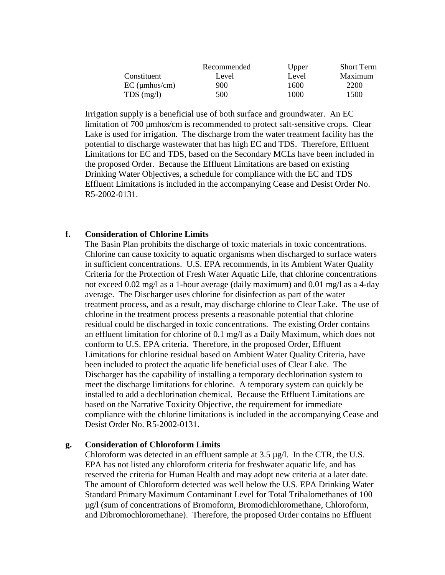|                 | Recommended | Upper | <b>Short Term</b> |
|-----------------|-------------|-------|-------------------|
| Constituent     | Level       | Level | Maximum           |
| $EC$ (µmhos/cm) | 900         | 1600  | 2200              |
| $TDS$ (mg/l)    | 500         | 1000  | 1500              |

Irrigation supply is a beneficial use of both surface and groundwater. An EC limitation of 700 µmhos/cm is recommended to protect salt-sensitive crops. Clear Lake is used for irrigation. The discharge from the water treatment facility has the potential to discharge wastewater that has high EC and TDS. Therefore, Effluent Limitations for EC and TDS, based on the Secondary MCLs have been included in the proposed Order. Because the Effluent Limitations are based on existing Drinking Water Objectives, a schedule for compliance with the EC and TDS Effluent Limitations is included in the accompanying Cease and Desist Order No. R5-2002-0131.

#### **f. Consideration of Chlorine Limits**

The Basin Plan prohibits the discharge of toxic materials in toxic concentrations. Chlorine can cause toxicity to aquatic organisms when discharged to surface waters in sufficient concentrations. U.S. EPA recommends, in its Ambient Water Quality Criteria for the Protection of Fresh Water Aquatic Life, that chlorine concentrations not exceed 0.02 mg/l as a 1-hour average (daily maximum) and 0.01 mg/l as a 4-day average. The Discharger uses chlorine for disinfection as part of the water treatment process, and as a result, may discharge chlorine to Clear Lake. The use of chlorine in the treatment process presents a reasonable potential that chlorine residual could be discharged in toxic concentrations. The existing Order contains an effluent limitation for chlorine of 0.1 mg/l as a Daily Maximum, which does not conform to U.S. EPA criteria. Therefore, in the proposed Order, Effluent Limitations for chlorine residual based on Ambient Water Quality Criteria, have been included to protect the aquatic life beneficial uses of Clear Lake. The Discharger has the capability of installing a temporary dechlorination system to meet the discharge limitations for chlorine. A temporary system can quickly be installed to add a dechlorination chemical. Because the Effluent Limitations are based on the Narrative Toxicity Objective, the requirement for immediate compliance with the chlorine limitations is included in the accompanying Cease and Desist Order No. R5-2002-0131.

#### **g. Consideration of Chloroform Limits**

Chloroform was detected in an effluent sample at 3.5 µg/l. In the CTR, the U.S. EPA has not listed any chloroform criteria for freshwater aquatic life, and has reserved the criteria for Human Health and may adopt new criteria at a later date. The amount of Chloroform detected was well below the U.S. EPA Drinking Water Standard Primary Maximum Contaminant Level for Total Trihalomethanes of 100 µg/l (sum of concentrations of Bromoform, Bromodichloromethane, Chloroform, and Dibromochloromethane). Therefore, the proposed Order contains no Effluent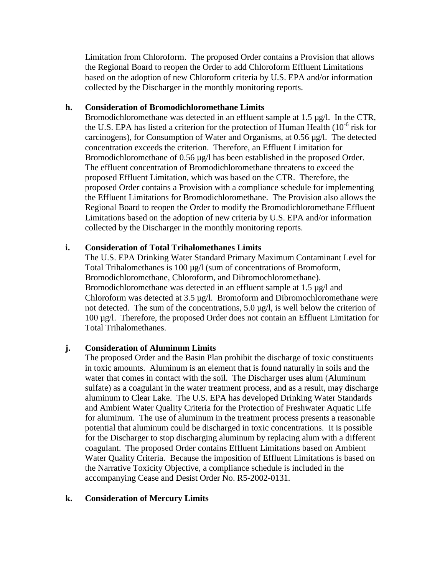Limitation from Chloroform. The proposed Order contains a Provision that allows the Regional Board to reopen the Order to add Chloroform Effluent Limitations based on the adoption of new Chloroform criteria by U.S. EPA and/or information collected by the Discharger in the monthly monitoring reports.

# **h. Consideration of Bromodichloromethane Limits**

Bromodichloromethane was detected in an effluent sample at 1.5 µg/l. In the CTR, the U.S. EPA has listed a criterion for the protection of Human Health (10-6 risk for carcinogens), for Consumption of Water and Organisms, at 0.56 µg/l. The detected concentration exceeds the criterion. Therefore, an Effluent Limitation for Bromodichloromethane of 0.56 µg/l has been established in the proposed Order. The effluent concentration of Bromodichloromethane threatens to exceed the proposed Effluent Limitation, which was based on the CTR. Therefore, the proposed Order contains a Provision with a compliance schedule for implementing the Effluent Limitations for Bromodichloromethane. The Provision also allows the Regional Board to reopen the Order to modify the Bromodichloromethane Effluent Limitations based on the adoption of new criteria by U.S. EPA and/or information collected by the Discharger in the monthly monitoring reports.

# **i. Consideration of Total Trihalomethanes Limits**

The U.S. EPA Drinking Water Standard Primary Maximum Contaminant Level for Total Trihalomethanes is 100 µg/l (sum of concentrations of Bromoform, Bromodichloromethane, Chloroform, and Dibromochloromethane). Bromodichloromethane was detected in an effluent sample at 1.5 µg/l and Chloroform was detected at 3.5 µg/l. Bromoform and Dibromochloromethane were not detected. The sum of the concentrations, 5.0 µg/l, is well below the criterion of 100 µg/l. Therefore, the proposed Order does not contain an Effluent Limitation for Total Trihalomethanes.

# **j. Consideration of Aluminum Limits**

The proposed Order and the Basin Plan prohibit the discharge of toxic constituents in toxic amounts. Aluminum is an element that is found naturally in soils and the water that comes in contact with the soil. The Discharger uses alum (Aluminum sulfate) as a coagulant in the water treatment process, and as a result, may discharge aluminum to Clear Lake. The U.S. EPA has developed Drinking Water Standards and Ambient Water Quality Criteria for the Protection of Freshwater Aquatic Life for aluminum. The use of aluminum in the treatment process presents a reasonable potential that aluminum could be discharged in toxic concentrations. It is possible for the Discharger to stop discharging aluminum by replacing alum with a different coagulant. The proposed Order contains Effluent Limitations based on Ambient Water Quality Criteria. Because the imposition of Effluent Limitations is based on the Narrative Toxicity Objective, a compliance schedule is included in the accompanying Cease and Desist Order No. R5-2002-0131.

# **k. Consideration of Mercury Limits**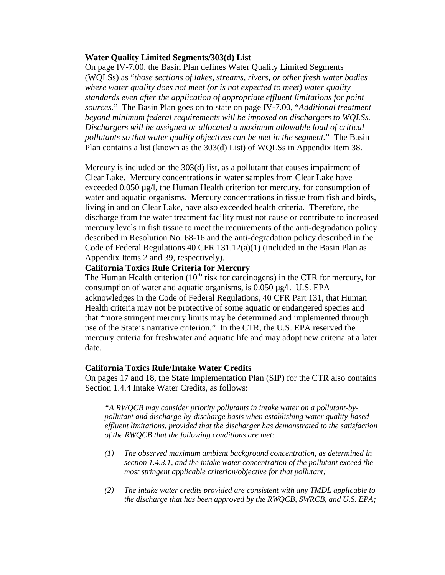#### **Water Quality Limited Segments/303(d) List**

On page IV-7.00, the Basin Plan defines Water Quality Limited Segments (WQLSs) as "*those sections of lakes, streams, rivers, or other fresh water bodies where water quality does not meet (or is not expected to meet) water quality standards even after the application of appropriate effluent limitations for point sources*." The Basin Plan goes on to state on page IV-7.00, "*Additional treatment beyond minimum federal requirements will be imposed on dischargers to WQLSs. Dischargers will be assigned or allocated a maximum allowable load of critical pollutants so that water quality objectives can be met in the segment.*" The Basin Plan contains a list (known as the 303(d) List) of WQLSs in Appendix Item 38.

Mercury is included on the 303(d) list, as a pollutant that causes impairment of Clear Lake. Mercury concentrations in water samples from Clear Lake have exceeded 0.050 µg/l, the Human Health criterion for mercury, for consumption of water and aquatic organisms. Mercury concentrations in tissue from fish and birds, living in and on Clear Lake, have also exceeded health criteria. Therefore, the discharge from the water treatment facility must not cause or contribute to increased mercury levels in fish tissue to meet the requirements of the anti-degradation policy described in Resolution No. 68-16 and the anti-degradation policy described in the Code of Federal Regulations 40 CFR 131.12(a)(1) (included in the Basin Plan as Appendix Items 2 and 39, respectively).

# **California Toxics Rule Criteria for Mercury**

The Human Health criterion  $(10^{-6}$  risk for carcinogens) in the CTR for mercury, for consumption of water and aquatic organisms, is 0.050 µg/l. U.S. EPA acknowledges in the Code of Federal Regulations, 40 CFR Part 131, that Human Health criteria may not be protective of some aquatic or endangered species and that "more stringent mercury limits may be determined and implemented through use of the State's narrative criterion." In the CTR, the U.S. EPA reserved the mercury criteria for freshwater and aquatic life and may adopt new criteria at a later date.

#### **California Toxics Rule/Intake Water Credits**

On pages 17 and 18, the State Implementation Plan (SIP) for the CTR also contains Section 1.4.4 Intake Water Credits, as follows:

*"A RWQCB may consider priority pollutants in intake water on a pollutant-bypollutant and discharge-by-discharge basis when establishing water quality-based effluent limitations, provided that the discharger has demonstrated to the satisfaction of the RWQCB that the following conditions are met:* 

- *(1) The observed maximum ambient background concentration, as determined in section 1.4.3.1, and the intake water concentration of the pollutant exceed the most stringent applicable criterion/objective for that pollutant;*
- *(2) The intake water credits provided are consistent with any TMDL applicable to the discharge that has been approved by the RWQCB, SWRCB, and U.S. EPA;*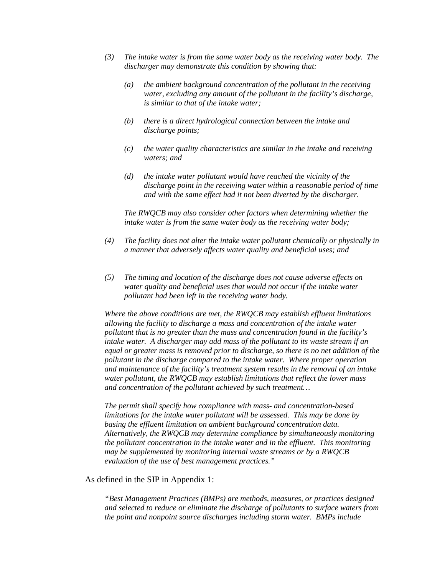- *(3) The intake water is from the same water body as the receiving water body. The discharger may demonstrate this condition by showing that:* 
	- *(a) the ambient background concentration of the pollutant in the receiving water, excluding any amount of the pollutant in the facility's discharge, is similar to that of the intake water;*
	- *(b) there is a direct hydrological connection between the intake and discharge points;*
	- *(c) the water quality characteristics are similar in the intake and receiving waters; and*
	- *(d) the intake water pollutant would have reached the vicinity of the discharge point in the receiving water within a reasonable period of time and with the same effect had it not been diverted by the discharger.*

*The RWQCB may also consider other factors when determining whether the intake water is from the same water body as the receiving water body;* 

- *(4) The facility does not alter the intake water pollutant chemically or physically in a manner that adversely affects water quality and beneficial uses; and*
- *(5) The timing and location of the discharge does not cause adverse effects on water quality and beneficial uses that would not occur if the intake water pollutant had been left in the receiving water body.*

*Where the above conditions are met, the RWQCB may establish effluent limitations allowing the facility to discharge a mass and concentration of the intake water pollutant that is no greater than the mass and concentration found in the facility's intake water. A discharger may add mass of the pollutant to its waste stream if an equal or greater mass is removed prior to discharge, so there is no net addition of the pollutant in the discharge compared to the intake water. Where proper operation and maintenance of the facility's treatment system results in the removal of an intake water pollutant, the RWQCB may establish limitations that reflect the lower mass and concentration of the pollutant achieved by such treatment…* 

*The permit shall specify how compliance with mass- and concentration-based limitations for the intake water pollutant will be assessed. This may be done by basing the effluent limitation on ambient background concentration data. Alternatively, the RWQCB may determine compliance by simultaneously monitoring the pollutant concentration in the intake water and in the effluent. This monitoring may be supplemented by monitoring internal waste streams or by a RWQCB evaluation of the use of best management practices."* 

#### As defined in the SIP in Appendix 1:

*"Best Management Practices (BMPs) are methods, measures, or practices designed and selected to reduce or eliminate the discharge of pollutants to surface waters from the point and nonpoint source discharges including storm water. BMPs include*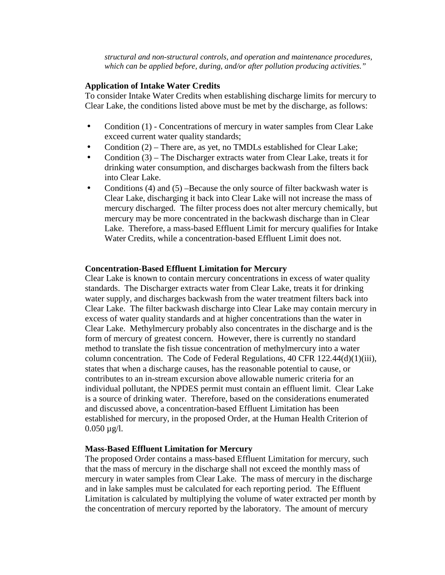*structural and non-structural controls, and operation and maintenance procedures, which can be applied before, during, and/or after pollution producing activities."* 

#### **Application of Intake Water Credits**

To consider Intake Water Credits when establishing discharge limits for mercury to Clear Lake, the conditions listed above must be met by the discharge, as follows:

- Condition (1) Concentrations of mercury in water samples from Clear Lake exceed current water quality standards;
- Condition (2) There are, as yet, no TMDLs established for Clear Lake;
- Condition (3) The Discharger extracts water from Clear Lake, treats it for drinking water consumption, and discharges backwash from the filters back into Clear Lake.
- Conditions (4) and (5) –Because the only source of filter backwash water is Clear Lake, discharging it back into Clear Lake will not increase the mass of mercury discharged. The filter process does not alter mercury chemically, but mercury may be more concentrated in the backwash discharge than in Clear Lake. Therefore, a mass-based Effluent Limit for mercury qualifies for Intake Water Credits, while a concentration-based Effluent Limit does not.

#### **Concentration-Based Effluent Limitation for Mercury**

Clear Lake is known to contain mercury concentrations in excess of water quality standards. The Discharger extracts water from Clear Lake, treats it for drinking water supply, and discharges backwash from the water treatment filters back into Clear Lake. The filter backwash discharge into Clear Lake may contain mercury in excess of water quality standards and at higher concentrations than the water in Clear Lake. Methylmercury probably also concentrates in the discharge and is the form of mercury of greatest concern. However, there is currently no standard method to translate the fish tissue concentration of methylmercury into a water column concentration. The Code of Federal Regulations, 40 CFR 122.44(d)(1)(iii), states that when a discharge causes, has the reasonable potential to cause, or contributes to an in-stream excursion above allowable numeric criteria for an individual pollutant, the NPDES permit must contain an effluent limit. Clear Lake is a source of drinking water. Therefore, based on the considerations enumerated and discussed above, a concentration-based Effluent Limitation has been established for mercury, in the proposed Order, at the Human Health Criterion of  $0.050 \mu g/l$ .

#### **Mass-Based Effluent Limitation for Mercury**

The proposed Order contains a mass-based Effluent Limitation for mercury, such that the mass of mercury in the discharge shall not exceed the monthly mass of mercury in water samples from Clear Lake. The mass of mercury in the discharge and in lake samples must be calculated for each reporting period. The Effluent Limitation is calculated by multiplying the volume of water extracted per month by the concentration of mercury reported by the laboratory. The amount of mercury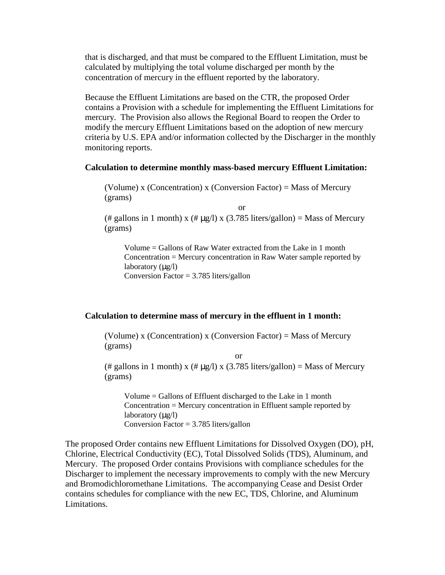that is discharged, and that must be compared to the Effluent Limitation, must be calculated by multiplying the total volume discharged per month by the concentration of mercury in the effluent reported by the laboratory.

Because the Effluent Limitations are based on the CTR, the proposed Order contains a Provision with a schedule for implementing the Effluent Limitations for mercury. The Provision also allows the Regional Board to reopen the Order to modify the mercury Effluent Limitations based on the adoption of new mercury criteria by U.S. EPA and/or information collected by the Discharger in the monthly monitoring reports.

#### **Calculation to determine monthly mass-based mercury Effluent Limitation:**

(Volume) x (Concentration) x (Conversion Factor) = Mass of Mercury (grams)

or

(# gallons in 1 month) x (#  $\mu$ g/l) x (3.785 liters/gallon) = Mass of Mercury (grams)

Volume = Gallons of Raw Water extracted from the Lake in 1 month Concentration = Mercury concentration in Raw Water sample reported by laboratory  $(\mu g/l)$ Conversion Factor  $= 3.785$  liters/gallon

#### **Calculation to determine mass of mercury in the effluent in 1 month:**

(Volume) x (Concentration) x (Conversion Factor) = Mass of Mercury (grams)

or

(# gallons in 1 month) x (#  $\mu$ g/l) x (3.785 liters/gallon) = Mass of Mercury (grams)

Volume = Gallons of Effluent discharged to the Lake in 1 month Concentration = Mercury concentration in Effluent sample reported by laboratory  $(\mu g/l)$ Conversion Factor =  $3.785$  liters/gallon

The proposed Order contains new Effluent Limitations for Dissolved Oxygen (DO), pH, Chlorine, Electrical Conductivity (EC), Total Dissolved Solids (TDS), Aluminum, and Mercury. The proposed Order contains Provisions with compliance schedules for the Discharger to implement the necessary improvements to comply with the new Mercury and Bromodichloromethane Limitations. The accompanying Cease and Desist Order contains schedules for compliance with the new EC, TDS, Chlorine, and Aluminum Limitations.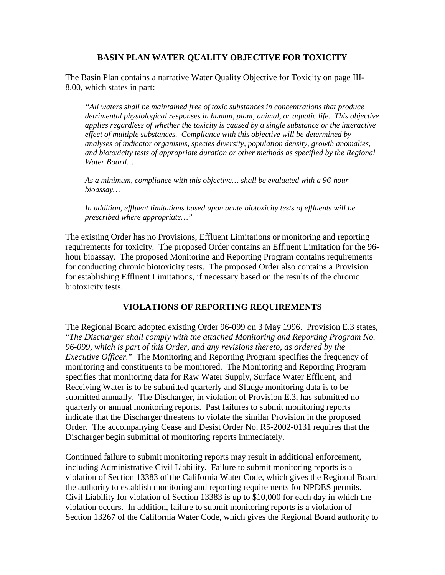# **BASIN PLAN WATER QUALITY OBJECTIVE FOR TOXICITY**

The Basin Plan contains a narrative Water Quality Objective for Toxicity on page III-8.00, which states in part:

*"All waters shall be maintained free of toxic substances in concentrations that produce detrimental physiological responses in human, plant, animal, or aquatic life. This objective applies regardless of whether the toxicity is caused by a single substance or the interactive effect of multiple substances. Compliance with this objective will be determined by analyses of indicator organisms, species diversity, population density, growth anomalies, and biotoxicity tests of appropriate duration or other methods as specified by the Regional Water Board…* 

*As a minimum, compliance with this objective… shall be evaluated with a 96-hour bioassay…* 

*In addition, effluent limitations based upon acute biotoxicity tests of effluents will be prescribed where appropriate…"* 

The existing Order has no Provisions, Effluent Limitations or monitoring and reporting requirements for toxicity. The proposed Order contains an Effluent Limitation for the 96 hour bioassay. The proposed Monitoring and Reporting Program contains requirements for conducting chronic biotoxicity tests. The proposed Order also contains a Provision for establishing Effluent Limitations, if necessary based on the results of the chronic biotoxicity tests.

## **VIOLATIONS OF REPORTING REQUIREMENTS**

The Regional Board adopted existing Order 96-099 on 3 May 1996. Provision E.3 states, "*The Discharger shall comply with the attached Monitoring and Reporting Program No. 96-099, which is part of this Order, and any revisions thereto, as ordered by the Executive Officer.*" The Monitoring and Reporting Program specifies the frequency of monitoring and constituents to be monitored. The Monitoring and Reporting Program specifies that monitoring data for Raw Water Supply, Surface Water Effluent, and Receiving Water is to be submitted quarterly and Sludge monitoring data is to be submitted annually. The Discharger, in violation of Provision E.3, has submitted no quarterly or annual monitoring reports. Past failures to submit monitoring reports indicate that the Discharger threatens to violate the similar Provision in the proposed Order. The accompanying Cease and Desist Order No. R5-2002-0131 requires that the Discharger begin submittal of monitoring reports immediately.

Continued failure to submit monitoring reports may result in additional enforcement, including Administrative Civil Liability. Failure to submit monitoring reports is a violation of Section 13383 of the California Water Code, which gives the Regional Board the authority to establish monitoring and reporting requirements for NPDES permits. Civil Liability for violation of Section 13383 is up to \$10,000 for each day in which the violation occurs. In addition, failure to submit monitoring reports is a violation of Section 13267 of the California Water Code, which gives the Regional Board authority to